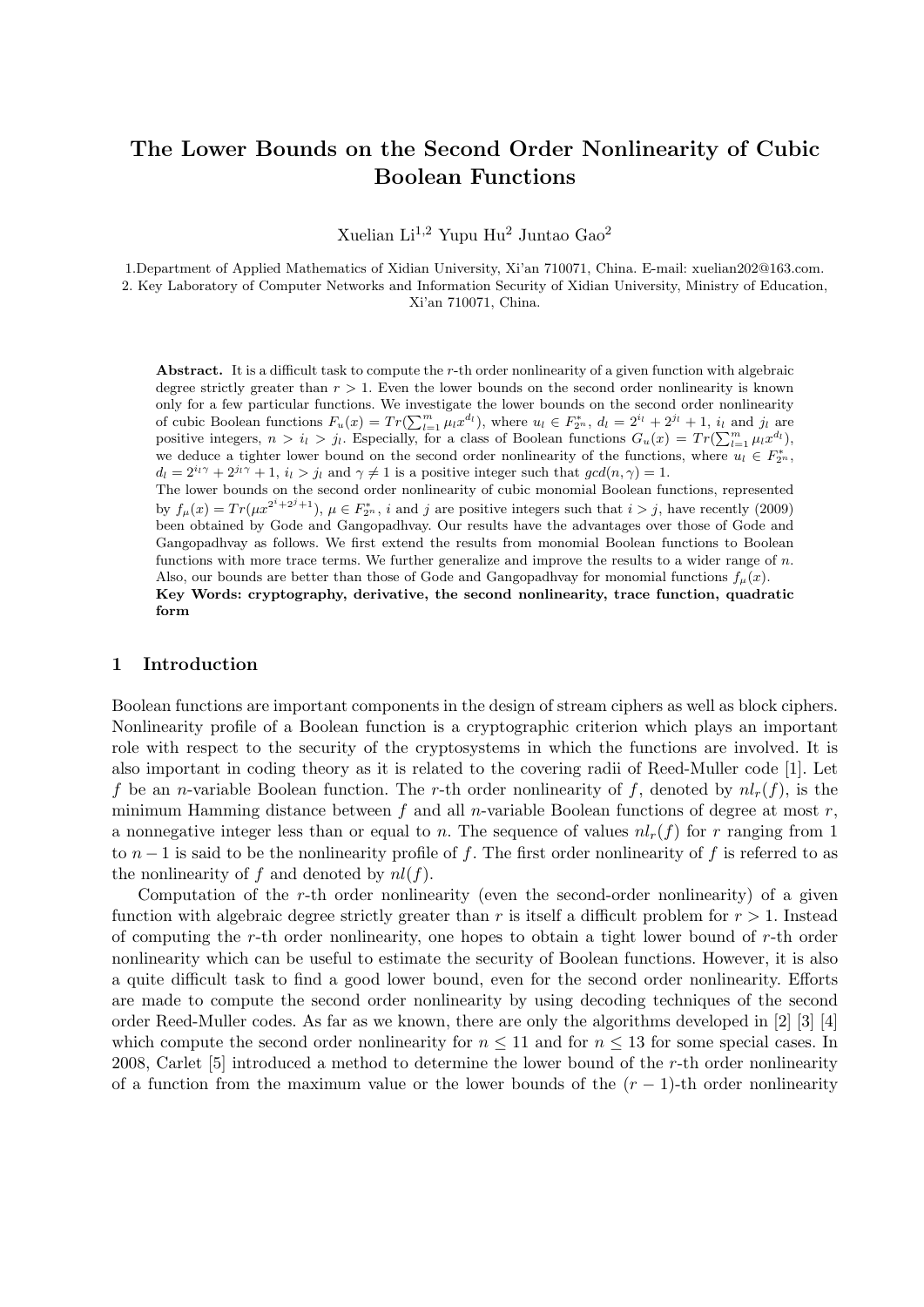# The Lower Bounds on the Second Order Nonlinearity of Cubic Boolean Functions

Xuelian Li<sup>1,2</sup> Yupu Hu<sup>2</sup> Juntao Gao<sup>2</sup>

1.Department of Applied Mathematics of Xidian University, Xi'an 710071, China. E-mail: xuelian202@163.com. 2. Key Laboratory of Computer Networks and Information Security of Xidian University, Ministry of Education, Xi'an 710071, China.

Abstract. It is a difficult task to compute the r-th order nonlinearity of a given function with algebraic degree strictly greater than  $r > 1$ . Even the lower bounds on the second order nonlinearity is known only for a few particular functions. We investigate the lower bounds on the second order nonlinearity of cubic Boolean functions  $F_u(x) = Tr(\sum_{l=1}^m \mu_l x^{d_l})$ , where  $u_l \in F_{2^n}^*, d_l = 2^{i_l} + 2^{j_l} + 1$ ,  $i_l$  and  $j_l$  are noting integers  $x > i$ . Expecially, for a class of Boolean functions  $G_u(x) = Tr(\sum_{l=1}^m \mu_l x^{d_l})$ positive integers,  $n > i_l > j_l$ . Especially, for a class of Boolean functions  $G_u(x) = Tr(\sum_{l=1}^m \mu_l x^{d_l})$ , we deduce a tighter lower bound on the second order nonlinearity of the functions, where  $u_i \in F_{2^n}^*$ ,  $d_l = 2^{i_l \gamma} + 2^{j_l \gamma} + 1$ ,  $i_l > j_l$  and  $\gamma \neq 1$  is a positive integer such that  $gcd(n, \gamma) = 1$ . The lower bounds on the second order nonlinearity of cubic monomial Boolean functions, represented by  $f_{\mu}(x) = Tr(\mu x^{2^{i}+2^{j}+1}), \mu \in F_{2^{n}}^{*}, i$  and j are positive integers such that  $i > j$ , have recently (2009) been obtained by Gode and Gangopadhvay. Our results have the advantages over those of Gode and Gangopadhvay as follows. We first extend the results from monomial Boolean functions to Boolean functions with more trace terms. We further generalize and improve the results to a wider range of n.

Also, our bounds are better than those of Gode and Gangopadhvay for monomial functions  $f_\mu(x)$ . Key Words: cryptography, derivative, the second nonlinearity, trace function, quadratic form

#### 1 Introduction

Boolean functions are important components in the design of stream ciphers as well as block ciphers. Nonlinearity profile of a Boolean function is a cryptographic criterion which plays an important role with respect to the security of the cryptosystems in which the functions are involved. It is also important in coding theory as it is related to the covering radii of Reed-Muller code [1]. Let f be an n-variable Boolean function. The r-th order nonlinearity of f, denoted by  $nl_r(f)$ , is the minimum Hamming distance between f and all n-variable Boolean functions of degree at most  $r$ , a nonnegative integer less than or equal to n. The sequence of values  $nl_r(f)$  for r ranging from 1 to  $n-1$  is said to be the nonlinearity profile of f. The first order nonlinearity of f is referred to as the nonlinearity of f and denoted by  $nl(f)$ .

Computation of the  $r$ -th order nonlinearity (even the second-order nonlinearity) of a given function with algebraic degree strictly greater than r is itself a difficult problem for  $r > 1$ . Instead of computing the r-th order nonlinearity, one hopes to obtain a tight lower bound of r-th order nonlinearity which can be useful to estimate the security of Boolean functions. However, it is also a quite difficult task to find a good lower bound, even for the second order nonlinearity. Efforts are made to compute the second order nonlinearity by using decoding techniques of the second order Reed-Muller codes. As far as we known, there are only the algorithms developed in [2] [3] [4] which compute the second order nonlinearity for  $n \leq 11$  and for  $n \leq 13$  for some special cases. In 2008, Carlet [5] introduced a method to determine the lower bound of the r-th order nonlinearity of a function from the maximum value or the lower bounds of the  $(r-1)$ -th order nonlinearity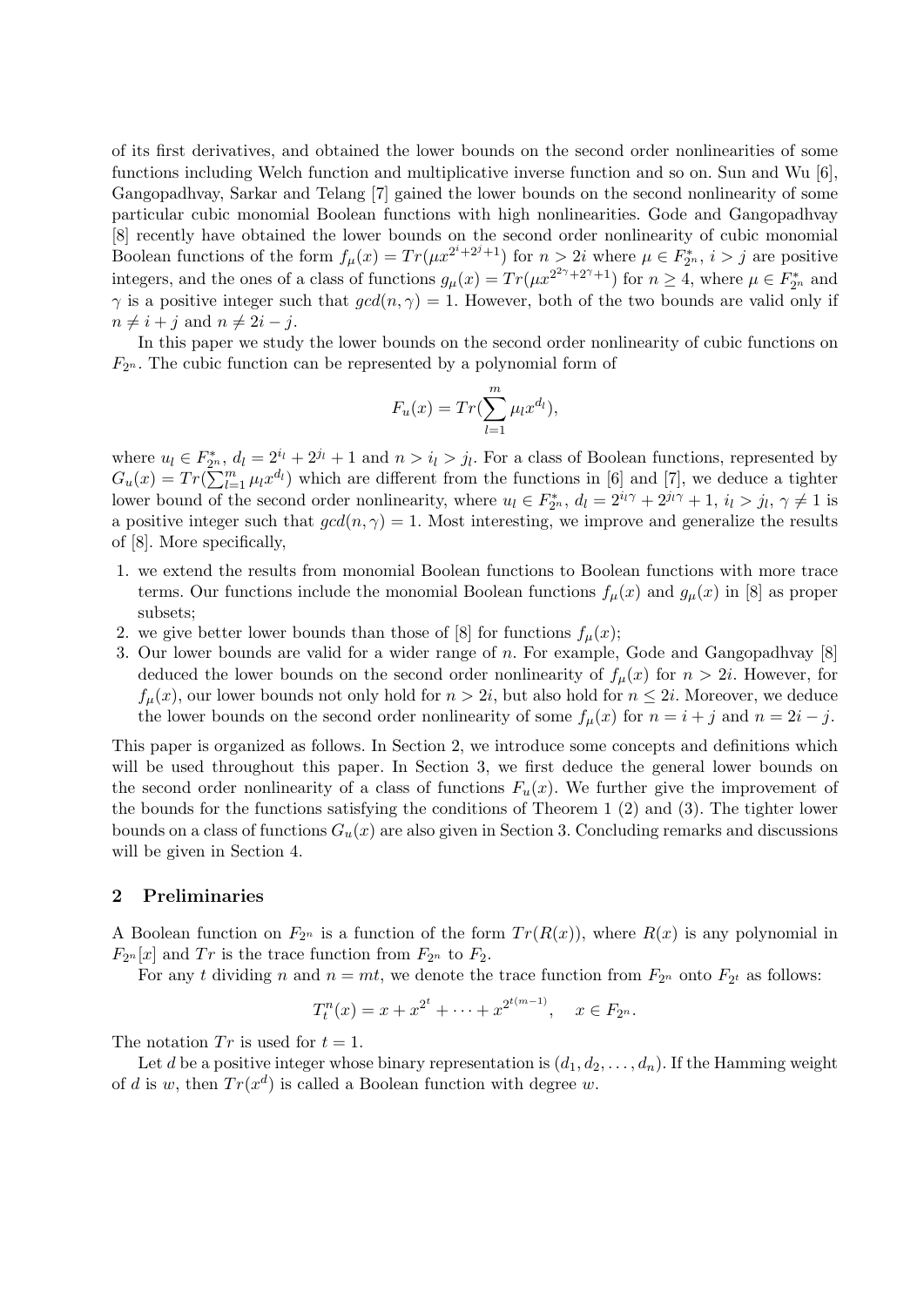of its first derivatives, and obtained the lower bounds on the second order nonlinearities of some functions including Welch function and multiplicative inverse function and so on. Sun and Wu [6], Gangopadhvay, Sarkar and Telang [7] gained the lower bounds on the second nonlinearity of some particular cubic monomial Boolean functions with high nonlinearities. Gode and Gangopadhvay [8] recently have obtained the lower bounds on the second order nonlinearity of cubic monomial Boolean functions of the form  $f_{\mu}(x) = Tr(\mu x^{2^{i}+2^{j}+1})$  for  $n > 2i$  where  $\mu \in F_{2^{n}}^{*}$ ,  $i > j$  are positive integers, and the ones of a class of functions  $g_{\mu}(x) = Tr(\mu x^{2^{2\gamma}+2^{\gamma}+1})$  for  $n \geq 4$ , where  $\mu \in F_{2^n}^*$  and  $\gamma$  is a positive integer such that  $gcd(n, \gamma) = 1$ . However, both of the two bounds are valid only if  $n \neq i + j$  and  $n \neq 2i - j$ .

In this paper we study the lower bounds on the second order nonlinearity of cubic functions on  $F_{2^n}$ . The cubic function can be represented by a polynomial form of

$$
F_u(x) = Tr(\sum_{l=1}^m \mu_l x^{d_l}),
$$

where  $u_l \in F_{2^n}^*$ ,  $d_l = 2^{i_l} + 2^{j_l} + 1$  and  $n > i_l > j_l$ . For a class of Boolean functions, represented by where  $u_l \in F_{2n}$ ,  $G_u(x) = Tr(\sum_{l=1}^m$  $\binom{m}{l=1}$   $\mu_l x^{d_l}$ ) which are different from the functions in [6] and [7], we deduce a tighter lower bound of the second order nonlinearity, where  $u_l \in F_{2^n}^*$ ,  $d_l = 2^{i_l \gamma} + 2^{j_l \gamma} + 1$ ,  $i_l > j_l$ ,  $\gamma \neq 1$  is a positive integer such that  $gcd(n, \gamma) = 1$ . Most interesting, we improve and generalize the results of [8]. More specifically,

- 1. we extend the results from monomial Boolean functions to Boolean functions with more trace terms. Our functions include the monomial Boolean functions  $f_{\mu}(x)$  and  $g_{\mu}(x)$  in [8] as proper subsets;
- 2. we give better lower bounds than those of [8] for functions  $f_{\mu}(x)$ ;
- 3. Our lower bounds are valid for a wider range of  $n$ . For example, Gode and Gangopadhvay  $[8]$ deduced the lower bounds on the second order nonlinearity of  $f<sub>u</sub>(x)$  for  $n > 2i$ . However, for  $f_{\mu}(x)$ , our lower bounds not only hold for  $n > 2i$ , but also hold for  $n \leq 2i$ . Moreover, we deduce the lower bounds on the second order nonlinearity of some  $f_{\mu}(x)$  for  $n = i + j$  and  $n = 2i - j$ .

This paper is organized as follows. In Section 2, we introduce some concepts and definitions which will be used throughout this paper. In Section 3, we first deduce the general lower bounds on the second order nonlinearity of a class of functions  $F_u(x)$ . We further give the improvement of the bounds for the functions satisfying the conditions of Theorem 1 (2) and (3). The tighter lower bounds on a class of functions  $G_u(x)$  are also given in Section 3. Concluding remarks and discussions will be given in Section 4.

#### 2 Preliminaries

A Boolean function on  $F_{2^n}$  is a function of the form  $Tr(R(x))$ , where  $R(x)$  is any polynomial in  $F_{2^n}[x]$  and  $Tr$  is the trace function from  $F_{2^n}$  to  $F_2$ .

For any t dividing n and  $n = mt$ , we denote the trace function from  $F_{2^n}$  onto  $F_{2^t}$  as follows:

$$
T_t^n(x) = x + x^{2^t} + \dots + x^{2^{t(m-1)}}, \quad x \in F_{2^n}.
$$

The notation  $Tr$  is used for  $t = 1$ .

Let d be a positive integer whose binary representation is  $(d_1, d_2, \ldots, d_n)$ . If the Hamming weight of d is w, then  $Tr(x^d)$  is called a Boolean function with degree w.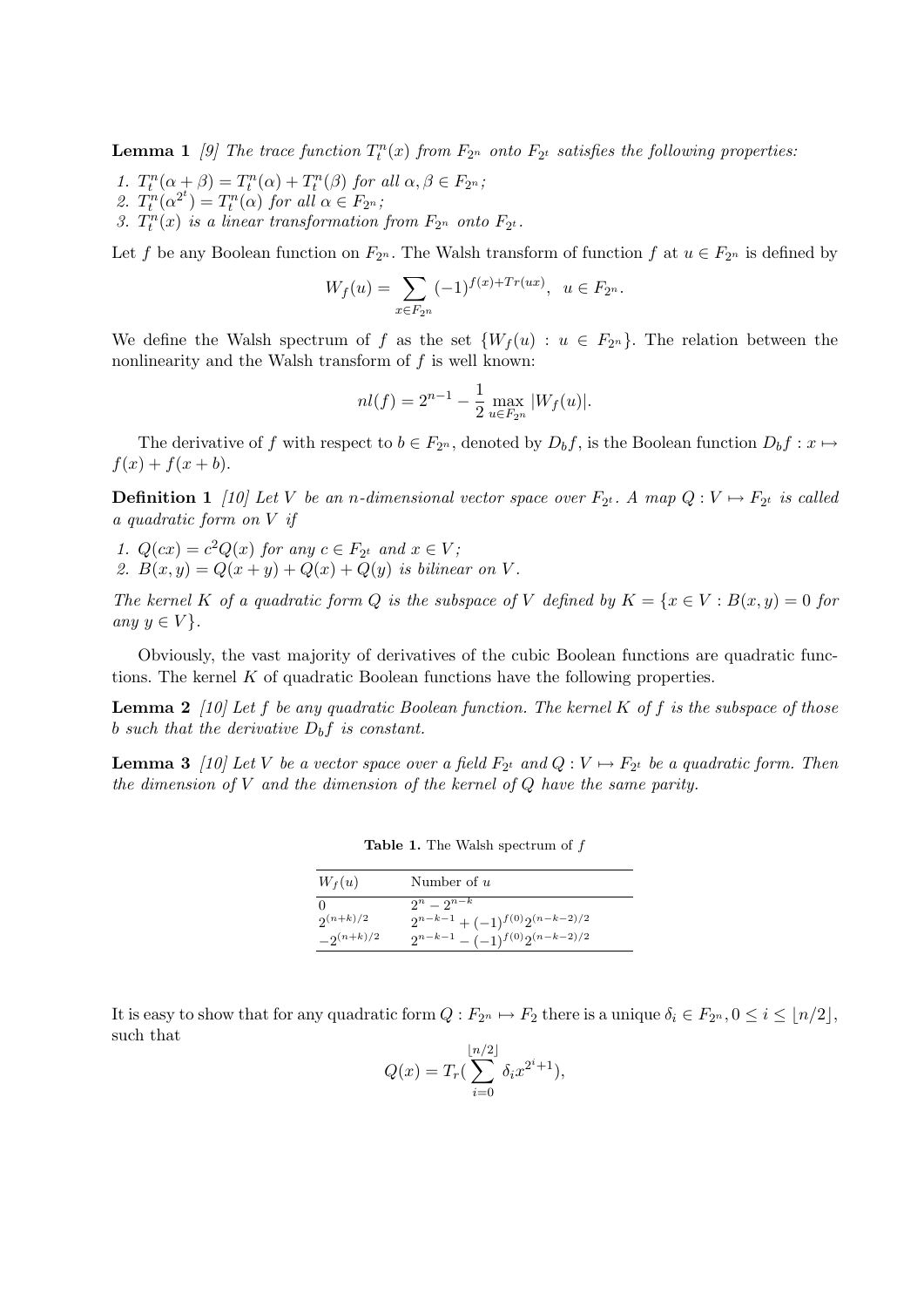**Lemma 1** [9] The trace function  $T_t^n(x)$  from  $F_{2^n}$  onto  $F_{2^t}$  satisfies the following properties:

- 1.  $T_t^n(\alpha + \beta) = T_t^n(\alpha) + T_t^n(\beta)$  for all  $\alpha, \beta \in F_{2^n}$ ;
- 2.  $T_t^n(\alpha^{2^t}) = T_t^n(\alpha)$  for all  $\alpha \in F_{2^n}$ ;
- 3.  $T_t^n(x)$  is a linear transformation from  $F_{2^n}$  onto  $F_{2^t}$ .

Let f be any Boolean function on  $F_{2^n}$ . The Walsh transform of function f at  $u \in F_{2^n}$  is defined by

$$
W_f(u) = \sum_{x \in F_{2^n}} (-1)^{f(x) + Tr(ux)}, \ \ u \in F_{2^n}.
$$

We define the Walsh spectrum of f as the set  $\{W_f(u): u \in F_{2^n}\}.$  The relation between the nonlinearity and the Walsh transform of  $f$  is well known:

$$
nl(f) = 2^{n-1} - \frac{1}{2} \max_{u \in F_{2^n}} |W_f(u)|.
$$

The derivative of f with respect to  $b \in F_{2^n}$ , denoted by  $D_b f$ , is the Boolean function  $D_b f : x \mapsto$  $f(x) + f(x + b).$ 

**Definition 1** [10] Let V be an n-dimensional vector space over  $F_{2^t}$ . A map  $Q: V \mapsto F_{2^t}$  is called a quadratic form on V if

1.  $Q(cx) = c^2Q(x)$  for any  $c \in F_{2^t}$  and  $x \in V$ ; 2.  $B(x, y) = Q(x + y) + Q(x) + Q(y)$  is bilinear on V.

The kernel K of a quadratic form Q is the subspace of V defined by  $K = \{x \in V : B(x, y) = 0\}$  for any  $y \in V$ .

Obviously, the vast majority of derivatives of the cubic Boolean functions are quadratic functions. The kernel K of quadratic Boolean functions have the following properties.

**Lemma 2** [10] Let f be any quadratic Boolean function. The kernel K of f is the subspace of those b such that the derivative  $D_b f$  is constant.

**Lemma 3** [10] Let V be a vector space over a field  $F_{2^t}$  and  $Q: V \mapsto F_{2^t}$  be a quadratic form. Then the dimension of  $V$  and the dimension of the kernel of  $Q$  have the same parity.

| $W_f(u)$       | Number of $u$                           |
|----------------|-----------------------------------------|
| O              | $2^n - 2^{n-k}$                         |
| $2(n+k)/2$     | $2^{n-k-1} + (-1)^{f(0)} 2^{(n-k-2)/2}$ |
| $-2^{(n+k)/2}$ | $2^{n-k-1} - (-1)^{f(0)} 2^{(n-k-2)/2}$ |

Table 1. The Walsh spectrum of  $f$ 

It is easy to show that for any quadratic form  $Q : F_{2^n} \mapsto F_2$  there is a unique  $\delta_i \in F_{2^n}, 0 \le i \le \lfloor n/2 \rfloor$ , such that

$$
Q(x) = T_r \left(\sum_{i=0}^{\lfloor n/2 \rfloor} \delta_i x^{2^i + 1}\right),
$$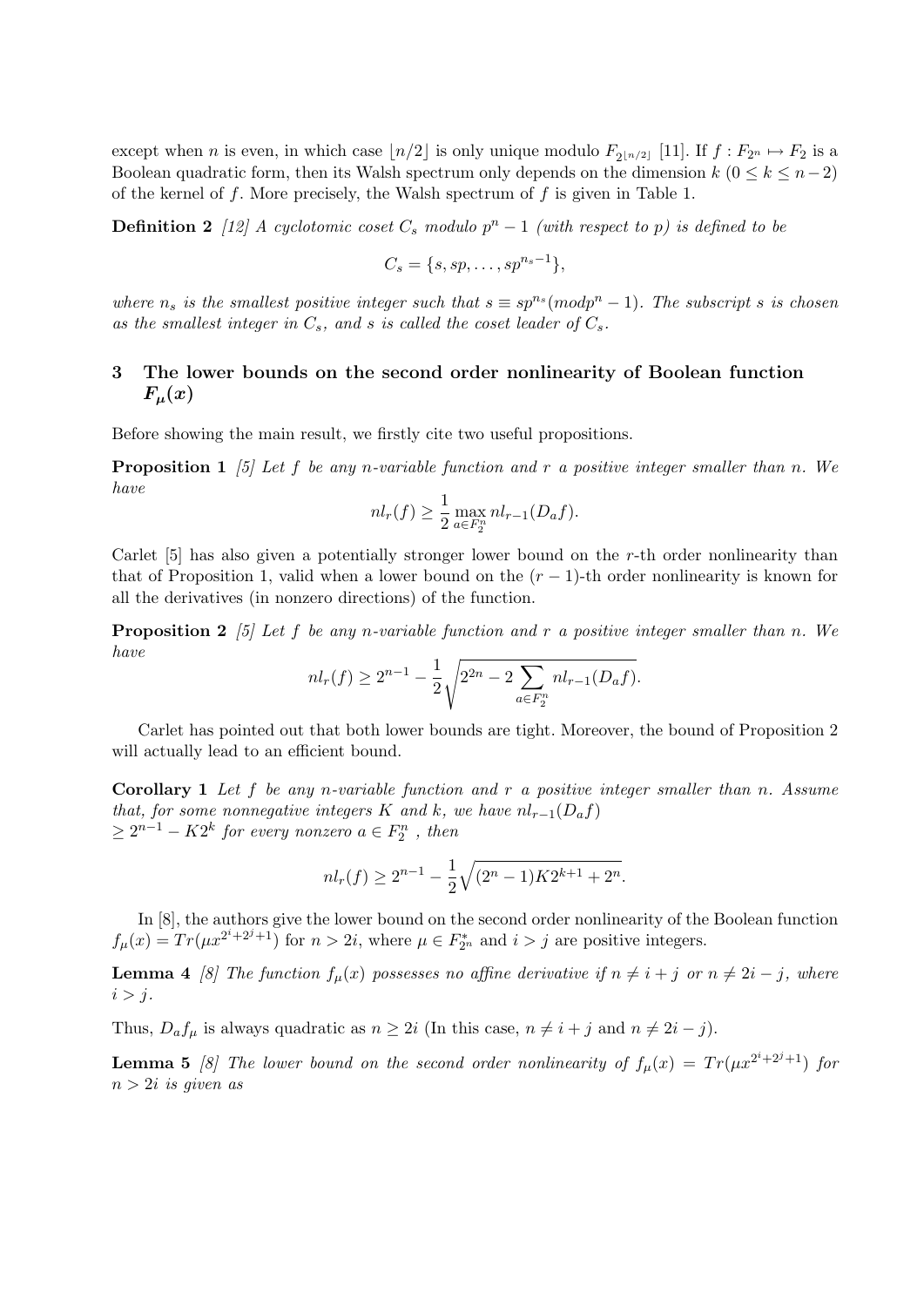except when *n* is even, in which case  $\lfloor n/2 \rfloor$  is only unique modulo  $F_{2\lfloor n/2 \rfloor}$  [11]. If  $f : F_{2n} \mapsto F_2$  is a Boolean quadratic form, then its Walsh spectrum only depends on the dimension  $k$  ( $0 \leq k \leq n-2$ ) of the kernel of  $f$ . More precisely, the Walsh spectrum of  $f$  is given in Table 1.

**Definition 2** [12] A cyclotomic coset  $C_s$  modulo  $p^n - 1$  (with respect to p) is defined to be

$$
C_s = \{s, sp, \ldots, sp^{n_s-1}\},\
$$

where  $n_s$  is the smallest positive integer such that  $s \equiv sp^{n_s} (mod p^n - 1)$ . The subscript s is chosen as the smallest integer in  $C_s$ , and s is called the coset leader of  $C_s$ .

# 3 The lower bounds on the second order nonlinearity of Boolean function  $F_\mu(x)$

Before showing the main result, we firstly cite two useful propositions.

**Proposition 1** [5] Let f be any n-variable function and r a positive integer smaller than n. We have

$$
nl_r(f) \ge \frac{1}{2} \max_{a \in F_2^n} nl_{r-1}(D_a f).
$$

Carlet [5] has also given a potentially stronger lower bound on the r-th order nonlinearity than that of Proposition 1, valid when a lower bound on the  $(r-1)$ -th order nonlinearity is known for all the derivatives (in nonzero directions) of the function.

**Proposition 2** [5] Let f be any n-variable function and r a positive integer smaller than n. We have s

$$
nl_r(f) \ge 2^{n-1} - \frac{1}{2} \sqrt{2^{2n} - 2 \sum_{a \in F_2^n} nl_{r-1}(D_a f)}.
$$

Carlet has pointed out that both lower bounds are tight. Moreover, the bound of Proposition 2 will actually lead to an efficient bound.

**Corollary 1** Let f be any n-variable function and r a positive integer smaller than n. Assume that, for some nonnegative integers K and k, we have  $nl_{r-1}(D_a f)$  $\geq 2^{n-1} - K2^k$  for every nonzero  $a \in F_2^n$ , then

$$
nl_r(f) \ge 2^{n-1} - \frac{1}{2}\sqrt{(2^n - 1)K2^{k+1} + 2^n}.
$$

In [8], the authors give the lower bound on the second order nonlinearity of the Boolean function  $f_{\mu}(x) = Tr(\mu x^{2^{i}+2^{j}+1})$  for  $n > 2i$ , where  $\mu \in F_{2^{n}}^{*}$  and  $i > j$  are positive integers.

**Lemma 4** [8] The function  $f_{\mu}(x)$  possesses no affine derivative if  $n \neq i + j$  or  $n \neq 2i - j$ , where  $i > j$ .

Thus,  $D_a f_\mu$  is always quadratic as  $n \geq 2i$  (In this case,  $n \neq i + j$  and  $n \neq 2i - j$ ).

**Lemma 5** [8] The lower bound on the second order nonlinearity of  $f_{\mu}(x) = Tr(\mu x^{2^{i}+2^{j}+1})$  for  $n > 2i$  is given as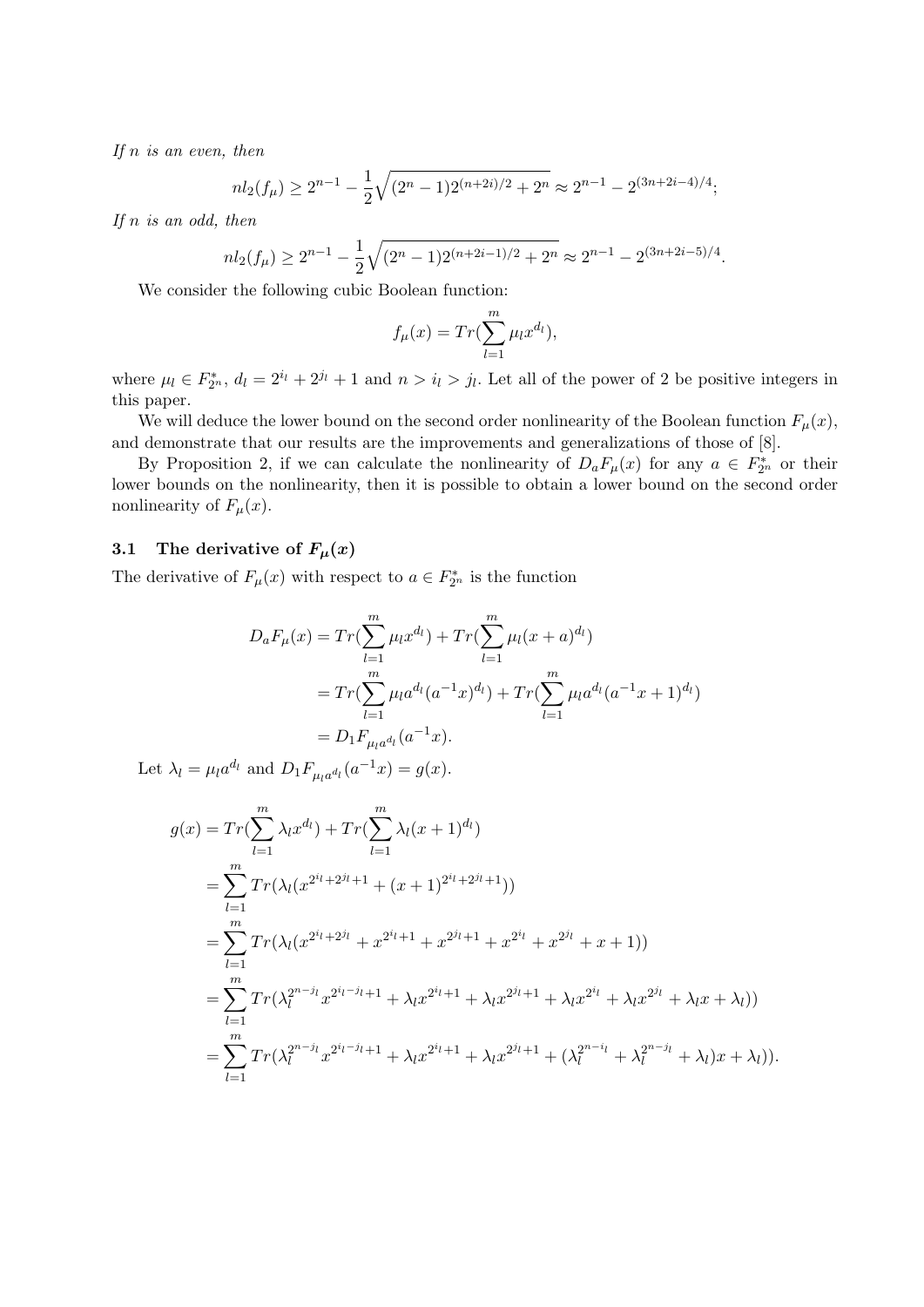If  $n$  is an even, then

$$
nl_2(f_\mu) \ge 2^{n-1} - \frac{1}{2}\sqrt{(2^n - 1)2^{(n+2i)/2} + 2^n} \approx 2^{n-1} - 2^{(3n+2i-4)/4};
$$

If  $n$  is an odd, then

$$
nl_2(f_\mu) \ge 2^{n-1} - \frac{1}{2}\sqrt{(2^n - 1)2^{(n+2i-1)/2} + 2^n} \approx 2^{n-1} - 2^{(3n+2i-5)/4}.
$$

We consider the following cubic Boolean function:

$$
f_{\mu}(x) = Tr(\sum_{l=1}^{m} \mu_l x^{d_l}),
$$

where  $\mu_l \in F_{2^n}^*$ ,  $d_l = 2^{i_l} + 2^{j_l} + 1$  and  $n > i_l > j_l$ . Let all of the power of 2 be positive integers in this paper.

We will deduce the lower bound on the second order nonlinearity of the Boolean function  $F_{\mu}(x)$ , and demonstrate that our results are the improvements and generalizations of those of [8].

By Proposition 2, if we can calculate the nonlinearity of  $D_a F_\mu(x)$  for any  $a \in F_{2^n}^*$  or their lower bounds on the nonlinearity, then it is possible to obtain a lower bound on the second order nonlinearity of  $F_{\mu}(x)$ .

## 3.1 The derivative of  $F_{\mu}(x)$

The derivative of  $F_{\mu}(x)$  with respect to  $a \in F_{2^n}^*$  is the function

$$
D_a F_\mu(x) = Tr(\sum_{l=1}^m \mu_l x^{d_l}) + Tr(\sum_{l=1}^m \mu_l (x + a)^{d_l})
$$
  
= 
$$
Tr(\sum_{l=1}^m \mu_l a^{d_l} (a^{-1}x)^{d_l}) + Tr(\sum_{l=1}^m \mu_l a^{d_l} (a^{-1}x + 1)^{d_l})
$$
  
= 
$$
D_1 F_{\mu_l a^{d_l}} (a^{-1}x).
$$

Let  $\lambda_l = \mu_l a^{d_l}$  and  $D_1 F_{\mu_l a^{d_l}}(a^{-1}x) = g(x)$ .

$$
g(x) = Tr(\sum_{l=1}^{m} \lambda_{l} x^{d_{l}}) + Tr(\sum_{l=1}^{m} \lambda_{l} (x+1)^{d_{l}})
$$
  
\n
$$
= \sum_{l=1}^{m} Tr(\lambda_{l} (x^{2^{i_{l}}+2^{j_{l}}+1} + (x+1)^{2^{i_{l}}+2^{j_{l}}+1}))
$$
  
\n
$$
= \sum_{l=1}^{m} Tr(\lambda_{l} (x^{2^{i_{l}}+2^{j_{l}}} + x^{2^{i_{l}}+1} + x^{2^{j_{l}}+1} + x^{2^{i_{l}}} + x^{2^{j_{l}}} + x + 1))
$$
  
\n
$$
= \sum_{l=1}^{m} Tr(\lambda_{l}^{2^{m-j_{l}}} x^{2^{i_{l}-j_{l}}+1} + \lambda_{l} x^{2^{i_{l}}+1} + \lambda_{l} x^{2^{j_{l}}+1} + \lambda_{l} x^{2^{j_{l}}} + \lambda_{l} x^{2^{j_{l}}} + \lambda_{l} x + \lambda_{l}))
$$
  
\n
$$
= \sum_{l=1}^{m} Tr(\lambda_{l}^{2^{m-j_{l}}} x^{2^{i_{l}-j_{l}}+1} + \lambda_{l} x^{2^{i_{l}}+1} + \lambda_{l} x^{2^{j_{l}}+1} + (\lambda_{l}^{2^{m-i_{l}}} + \lambda_{l}^{2^{m-j_{l}}} + \lambda_{l})x + \lambda_{l})).
$$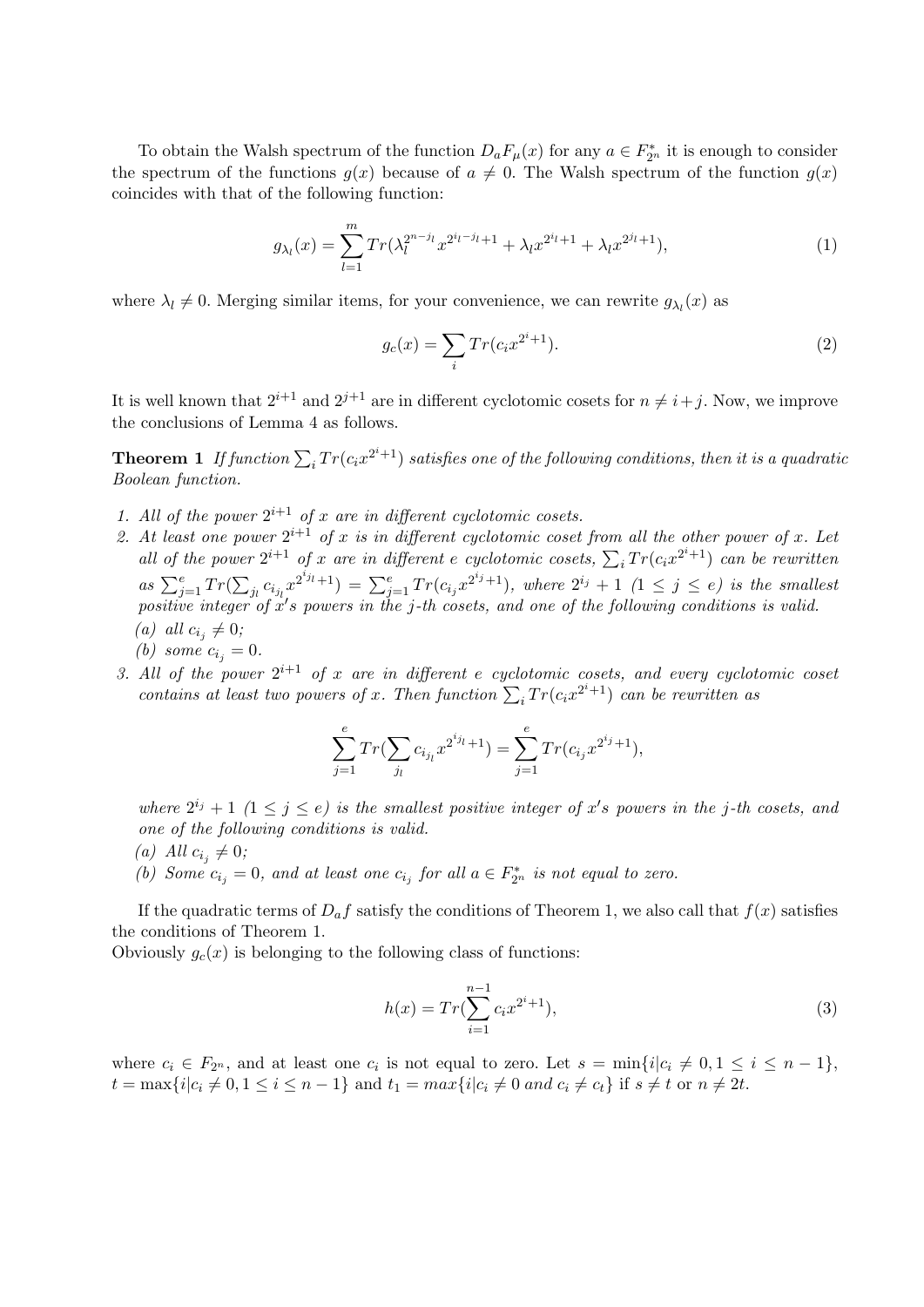To obtain the Walsh spectrum of the function  $D_a F_\mu(x)$  for any  $a \in F_{2^n}^*$  it is enough to consider the spectrum of the functions  $g(x)$  because of  $a \neq 0$ . The Walsh spectrum of the function  $g(x)$ coincides with that of the following function:

$$
g_{\lambda_l}(x) = \sum_{l=1}^m Tr(\lambda_l^{2^{n-j_l}} x^{2^{i_l-j_{l+1}}} + \lambda_l x^{2^{i_l+1}} + \lambda_l x^{2^{j_l+1}}),
$$
\n(1)

where  $\lambda_l \neq 0$ . Merging similar items, for your convenience, we can rewrite  $g_{\lambda_l}(x)$  as

$$
g_c(x) = \sum_i Tr(c_i x^{2^i + 1}).
$$
\n(2)

It is well known that  $2^{i+1}$  and  $2^{j+1}$  are in different cyclotomic cosets for  $n \neq i+j$ . Now, we improve the conclusions of Lemma 4 as follows.

**Theorem 1** If function  $\sum_i Tr(c_i x^{2^i+1})$  satisfies one of the following conditions, then it is a quadratic Boolean function.

- 1. All of the power  $2^{i+1}$  of x are in different cyclotomic cosets.
- 2. At least one power  $2^{i+1}$  of x is in different cyclotomic coset from all the other power of x. Let At least one power 2 by x is in algebra e cyclotomic coset from all the other power of x. Let all of the power  $2^{i+1}$  of x are in different e cyclotomic cosets,  $\sum_i Tr(c_i x^{2^i+1})$  can be rewritten as  $\sum_{j=1}^{e} Tr($  $\overline{a}$  $\sum_{j_1} c_{i_{j_1}} x^{2^{i_{j_1}}+1}) = \sum_{j=1}^e Tr(c_{i_j} x^{2^{i_j}+1}),$  where  $2^{i_j}+1$   $(1 \leq j \leq e)$  is the smallest positive integer of  $x's$  powers in the j-th cosets, and one of the following conditions is valid. (a) all  $c_{i_j} \neq 0;$ 
	- (b) some  $c_{i_j} = 0$ .
- 3. All of the power  $2^{i+1}$  of x are in different e cyclotomic cosets, and every cyclotomic coset contains at least two powers of x. Then function  $\sum_i Tr(c_i x^{2^i+1})$  can be rewritten as

$$
\sum_{j=1}^{e} Tr(\sum_{j_l} c_{i_{j_l}} x^{2^{i_{j_l}}+1}) = \sum_{j=1}^{e} Tr(c_{i_j} x^{2^{i_j}+1}),
$$

where  $2^{i_j} + 1$   $(1 \leq j \leq e)$  is the smallest positive integer of x's powers in the j-th cosets, and one of the following conditions is valid.

- (a) All  $c_{i_j} \neq 0;$
- (b) Some  $c_{i_j} = 0$ , and at least one  $c_{i_j}$  for all  $a \in F_{2^n}^*$  is not equal to zero.

If the quadratic terms of  $D_a f$  satisfy the conditions of Theorem 1, we also call that  $f(x)$  satisfies the conditions of Theorem 1.

Obviously  $g_c(x)$  is belonging to the following class of functions:

$$
h(x) = Tr(\sum_{i=1}^{n-1} c_i x^{2^i + 1}),
$$
\n(3)

where  $c_i \in F_{2^n}$ , and at least one  $c_i$  is not equal to zero. Let  $s = \min\{i | c_i \neq 0, 1 \leq i \leq n-1\}$ ,  $t = \max\{i | c_i \neq 0, 1 \leq i \leq n-1\}$  and  $t_1 = \max\{i | c_i \neq 0 \text{ and } c_i \neq c_t\}$  if  $s \neq t$  or  $n \neq 2t$ .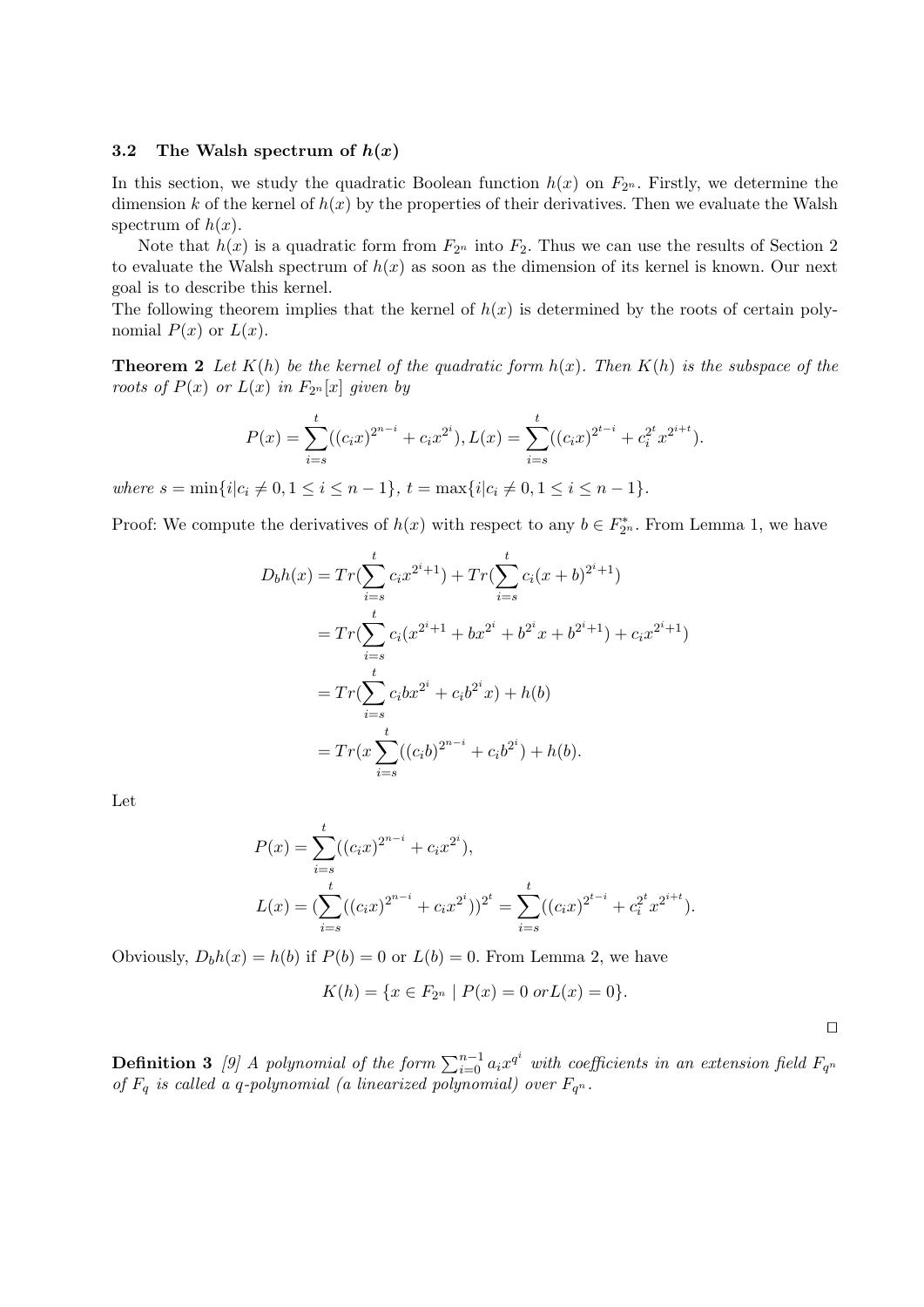#### 3.2 The Walsh spectrum of  $h(x)$

In this section, we study the quadratic Boolean function  $h(x)$  on  $F_{2^n}$ . Firstly, we determine the dimension k of the kernel of  $h(x)$  by the properties of their derivatives. Then we evaluate the Walsh spectrum of  $h(x)$ .

Note that  $h(x)$  is a quadratic form from  $F_{2^n}$  into  $F_2$ . Thus we can use the results of Section 2 to evaluate the Walsh spectrum of  $h(x)$  as soon as the dimension of its kernel is known. Our next goal is to describe this kernel.

The following theorem implies that the kernel of  $h(x)$  is determined by the roots of certain polynomial  $P(x)$  or  $L(x)$ .

**Theorem 2** Let  $K(h)$  be the kernel of the quadratic form  $h(x)$ . Then  $K(h)$  is the subspace of the roots of  $P(x)$  or  $L(x)$  in  $F_{2^n}[x]$  given by

$$
P(x) = \sum_{i=s}^{t} ((c_i x)^{2^{n-i}} + c_i x^{2^i}), L(x) = \sum_{i=s}^{t} ((c_i x)^{2^{t-i}} + c_i^{2^t} x^{2^{i+t}}).
$$

where  $s = \min\{i | c_i \neq 0, 1 \leq i \leq n-1\}, t = \max\{i | c_i \neq 0, 1 \leq i \leq n-1\}.$ 

Proof: We compute the derivatives of  $h(x)$  with respect to any  $b \in F_{2^n}^*$ . From Lemma 1, we have

$$
D_b h(x) = Tr(\sum_{i=s}^{t} c_i x^{2^i+1}) + Tr(\sum_{i=s}^{t} c_i (x+b)^{2^i+1})
$$
  
= 
$$
Tr(\sum_{i=s}^{t} c_i (x^{2^i+1} + bx^{2^i} + b^{2^i} x + b^{2^i+1}) + c_i x^{2^i+1})
$$
  
= 
$$
Tr(\sum_{i=s}^{t} c_i bx^{2^i} + c_i b^{2^i} x) + h(b)
$$
  
= 
$$
Tr(x \sum_{i=s}^{t} ((c_i b)^{2^{n-i}} + c_i b^{2^i}) + h(b).
$$

Let

$$
P(x) = \sum_{i=s}^{t} ((c_i x)^{2^{n-i}} + c_i x^{2^i}),
$$
  
\n
$$
L(x) = (\sum_{i=s}^{t} ((c_i x)^{2^{n-i}} + c_i x^{2^i}))^{2^t} = \sum_{i=s}^{t} ((c_i x)^{2^{t-i}} + c_i^{2^t} x^{2^{i+t}}).
$$

Obviously,  $D_b h(x) = h(b)$  if  $P(b) = 0$  or  $L(b) = 0$ . From Lemma 2, we have

$$
K(h) = \{ x \in F_{2^n} \mid P(x) = 0 \text{ or } L(x) = 0 \}.
$$

 $\Box$ 

**Definition 3** [9] A polynomial of the form  $\sum_{i=0}^{n-1} a_i x^{q^i}$  with coefficients in an extension field  $F_{q^n}$ of  $F_q$  is called a q-polynomial (a linearized polynomial) over  $F_{q^n}$ .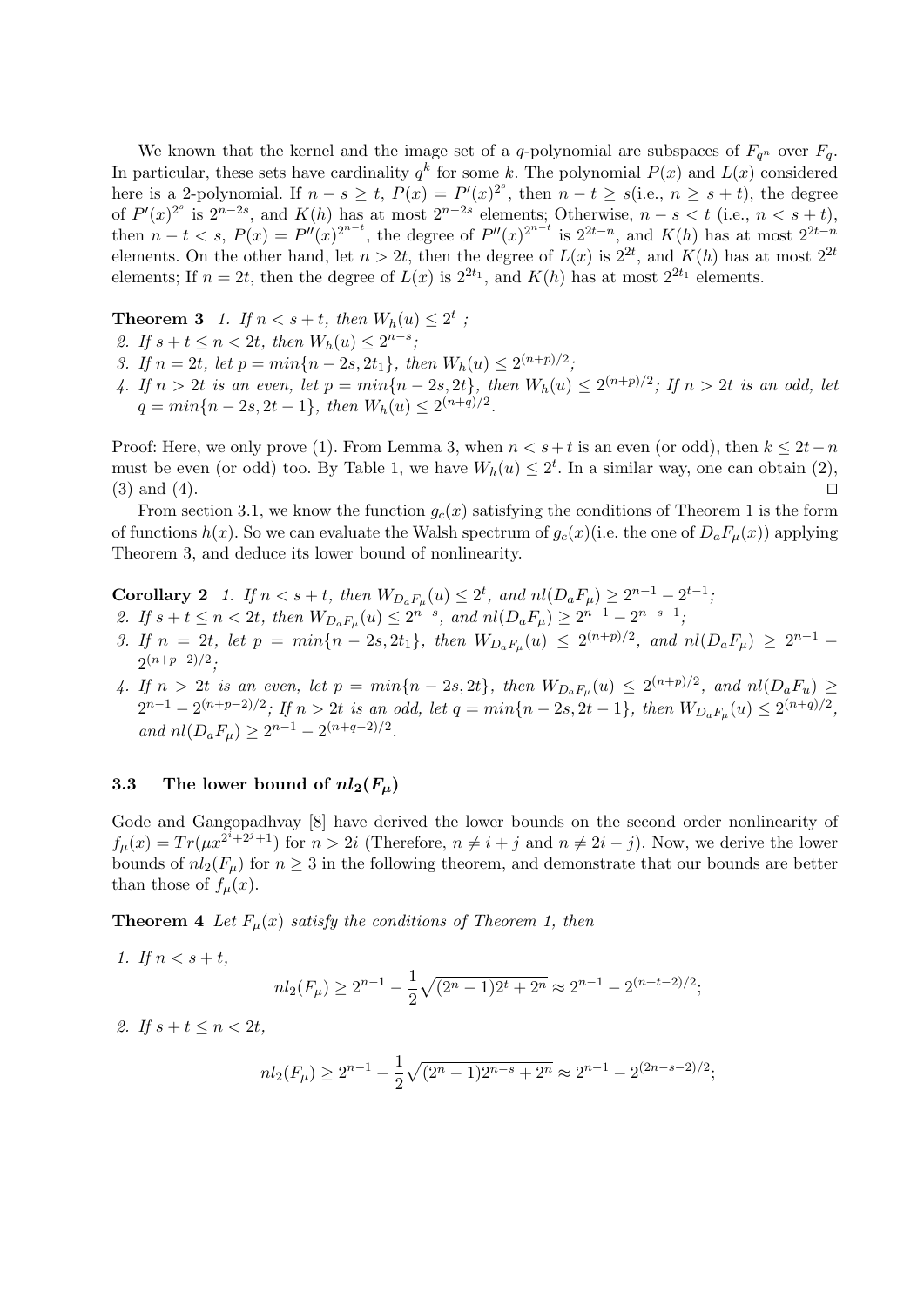We known that the kernel and the image set of a q-polynomial are subspaces of  $F_{q^n}$  over  $F_q$ . In particular, these sets have cardinality  $q^k$  for some k. The polynomial  $P(x)$  and  $L(x)$  considered here is a 2-polynomial. If  $n - s \ge t$ ,  $P(x) = P'(x)^{2^s}$ , then  $n - t \ge s$  (i.e.,  $n \ge s + t$ ), the degree of  $P'(x)^{2^s}$  is  $2^{n-2s}$ , and  $K(h)$  has at most  $2^{n-2s}$  elements; Otherwise,  $n-s < t$  (i.e.,  $n < s+t$ ), then  $n-t < s$ ,  $P(x) = P''(x)^{2^{n-t}}$ , the degree of  $P''(x)^{2^{n-t}}$  is  $2^{2t-n}$ , and  $K(h)$  has at most  $2^{2t-n}$ elements. On the other hand, let  $n > 2t$ , then the degree of  $L(x)$  is  $2^{2t}$ , and  $K(h)$  has at most  $2^{2t}$ elements; If  $n = 2t$ , then the degree of  $L(x)$  is  $2^{2t_1}$ , and  $K(h)$  has at most  $2^{2t_1}$  elements.

**Theorem 3** 1. If  $n < s+t$ , then  $W_h(u) \leq 2^t$ ;

- 2. If  $s + t \le n < 2t$ , then  $W_h(u) \le 2^{n-s}$ ;
- 3. If  $n = 2t$ , let  $p = min\{n 2s, 2t_1\}$ , then  $W_h(u) \leq 2^{(n+p)/2}$ ;
- 4. If  $n > 2t$  is an even, let  $p = min\{n 2s, 2t\}$ , then  $W_h(u) \leq 2^{(n+p)/2}$ ; If  $n > 2t$  is an odd, let  $q = min\{n-2s, 2t-1\},\ then\ W_h(u) \leq 2^{(n+q)/2}.$

Proof: Here, we only prove (1). From Lemma 3, when  $n < s+t$  is an even (or odd), then  $k \leq 2t-n$ must be even (or odd) too. By Table 1, we have  $W_h(u) \leq 2^t$ . In a similar way, one can obtain (2),  $(3)$  and  $(4)$ .

From section 3.1, we know the function  $g_c(x)$  satisfying the conditions of Theorem 1 is the form of functions  $h(x)$ . So we can evaluate the Walsh spectrum of  $g_c(x)$  (i.e. the one of  $D_aF_u(x)$ ) applying Theorem 3, and deduce its lower bound of nonlinearity.

**Corollary 2** 1. If  $n < s + t$ , then  $W_{D_aF_\mu}(u) \leq 2^t$ , and  $nl(D_aF_\mu) \geq 2^{n-1} - 2^{t-1}$ ;

- 2. If  $s + t \leq n < 2t$ , then  $W_{D_aF_\mu}(u) \leq 2^{n-s}$ , and  $nl(D_aF_\mu) \geq 2^{n-1} 2^{n-s-1}$ ,
- 3. If  $n = 2t$ , let  $p = min\{n 2s, 2t_1\}$ , then  $W_{D_aF_\mu}(u) \leq 2^{(n+p)/2}$ , and  $nl(D_aF_\mu) \geq 2^{n-1}$  $2^{(n+p-2)/2}$ ;
- 4. If  $n > 2t$  is an even, let  $p = min\{n 2s, 2t\}$ , then  $W_{D_aF_\mu}(u) \leq 2^{(n+p)/2}$ , and  $nl(D_aF_u) \geq$  $2^{n-1} - 2^{(n+p-2)/2}$ ; If  $n > 2t$  is an odd, let  $q = min\{n-2s, 2t-1\}$ , then  $W_{D_aF_\mu}(u) \leq 2^{(n+q)/2}$ , and  $nl(D_aF_\mu) \geq 2^{n-1} - 2^{(n+q-2)/2}$ .

#### 3.3 The lower bound of  $nl_2(F_\mu)$

Gode and Gangopadhvay [8] have derived the lower bounds on the second order nonlinearity of  $f_{\mu}(x) = Tr(\mu x^{2^{i}+2^{j}+1})$  for  $n > 2i$  (Therefore,  $n \neq i + j$  and  $n \neq 2i - j$ ). Now, we derive the lower bounds of  $nl_2(F_\mu)$  for  $n \geq 3$  in the following theorem, and demonstrate that our bounds are better than those of  $f_{\mu}(x)$ .

**Theorem 4** Let  $F_u(x)$  satisfy the conditions of Theorem 1, then

1. If  $n < s + t$ ,

$$
nl_2(F_{\mu}) \ge 2^{n-1} - \frac{1}{2}\sqrt{(2^n - 1)2^t + 2^n} \approx 2^{n-1} - 2^{(n+t-2)/2};
$$

2. If  $s + t \leq n < 2t$ ,

$$
nl_2(F_{\mu}) \ge 2^{n-1} - \frac{1}{2}\sqrt{(2^n - 1)2^{n-s} + 2^n} \approx 2^{n-1} - 2^{(2n-s-2)/2};
$$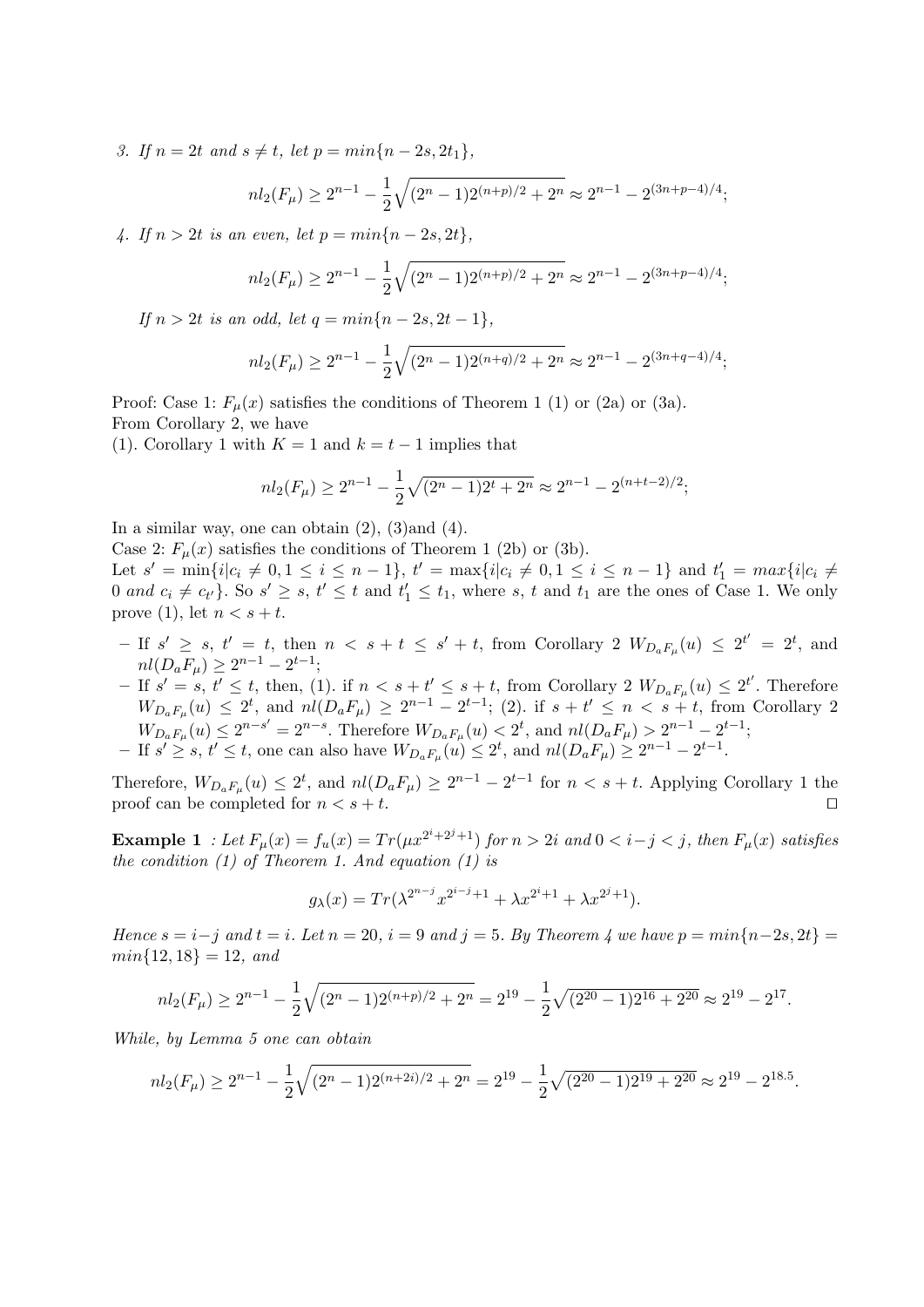3. If  $n = 2t$  and  $s \neq t$ , let  $p = min\{n - 2s, 2t_1\},\$ 

$$
nl_2(F_{\mu}) \ge 2^{n-1} - \frac{1}{2}\sqrt{(2^n - 1)2^{(n+p)/2} + 2^n} \approx 2^{n-1} - 2^{(3n+p-4)/4};
$$

4. If  $n > 2t$  is an even, let  $p = min\{n - 2s, 2t\}$ ,

$$
nl_2(F_{\mu}) \ge 2^{n-1} - \frac{1}{2}\sqrt{(2^n - 1)2^{(n+p)/2} + 2^n} \approx 2^{n-1} - 2^{(3n+p-4)/4};
$$

If  $n > 2t$  is an odd, let  $q = min\{n - 2s, 2t - 1\}$ ,

$$
nl_2(F_\mu) \ge 2^{n-1} - \frac{1}{2}\sqrt{(2^n - 1)2^{(n+q)/2} + 2^n} \approx 2^{n-1} - 2^{(3n+q-4)/4};
$$

Proof: Case 1:  $F_u(x)$  satisfies the conditions of Theorem 1 (1) or (2a) or (3a). From Corollary 2, we have

(1). Corollary 1 with  $K = 1$  and  $k = t - 1$  implies that

$$
nl_2(F_{\mu}) \ge 2^{n-1} - \frac{1}{2}\sqrt{(2^n - 1)2^t + 2^n} \approx 2^{n-1} - 2^{(n+t-2)/2};
$$

In a similar way, one can obtain  $(2)$ ,  $(3)$  and  $(4)$ .

Case 2:  $F_{\mu}(x)$  satisfies the conditions of Theorem 1 (2b) or (3b).

Let  $s' = \min\{i | c_i \neq 0, 1 \leq i \leq n-1\}, t' = \max\{i | c_i \neq 0, 1 \leq i \leq n-1\}$  and  $t'_1 = \max\{i | c_i \neq 0, 1 \leq i \leq n-1\}$ 0 and  $c_i \neq c_{t'}$ . So  $s' \geq s$ ,  $t' \leq t$  and  $t'_1 \leq t_1$ , where s, t and  $t_1$  are the ones of Case 1. We only prove (1), let  $n < s + t$ .

- $-$  If  $s' \geq s$ ,  $t' = t$ , then  $n \leq s + t \leq s' + t$ , from Corollary 2  $W_{D_aF_\mu}(u) \leq 2^{t'} = 2^t$ , and  $nl(D_aF_\mu) \geq 2^{n-1} - 2^{t-1};$
- $-$  If  $s' = s$ ,  $t' \leq t$ , then, (1). if  $n < s + t' \leq s + t$ , from Corollary 2  $W_{D_a F_\mu}(u) \leq 2^{t'}$ . Therefore  $W_{D_aF_\mu}(u) \leq 2^t$ , and  $nl(D_aF_\mu) \geq 2^{n-1} - 2^{t-1}$ ; (2). if  $s + t' \leq n < s + t$ , from Corollary 2  $W_{D_aF_\mu}(u) \leq 2^{n-s'} = 2^{n-s}$ . Therefore  $W_{D_aF_\mu}(u) < 2^t$ , and  $nl(D_aF_\mu) > 2^{n-1} - 2^{t-1}$ ;
- If  $s' \geq s$ ,  $t' \leq t$ , one can also have  $W_{D_aF_\mu}(u) \leq 2^t$ , and  $nl(D_aF_\mu) \geq 2^{n-1} 2^{t-1}$ .

Therefore,  $W_{D_aF_\mu}(u) \leq 2^t$ , and  $nl(D_aF_\mu) \geq 2^{n-1} - 2^{t-1}$  for  $n < s + t$ . Applying Corollary 1 the proof can be completed for  $n < s + t$ .

**Example 1** : Let  $F_{\mu}(x) = f_u(x) = Tr(\mu x^{2^i+2^j+1})$  for  $n > 2i$  and  $0 < i-j < j$ , then  $F_{\mu}(x)$  satisfies the condition  $(1)$  of Theorem 1. And equation  $(1)$  is

$$
g_{\lambda}(x) = Tr(\lambda^{2^{n-j}} x^{2^{i-j}+1} + \lambda x^{2^i+1} + \lambda x^{2^j+1}).
$$

Hence  $s = i-j$  and  $t = i$ . Let  $n = 20$ ,  $i = 9$  and  $j = 5$ . By Theorem 4 we have  $p = min\{n-2s, 2t\}$  $min\{12, 18\} = 12, and$ 

$$
nl_2(F_{\mu}) \ge 2^{n-1} - \frac{1}{2}\sqrt{(2^n - 1)2^{(n+p)/2} + 2^n} = 2^{19} - \frac{1}{2}\sqrt{(2^{20} - 1)2^{16} + 2^{20}} \approx 2^{19} - 2^{17}.
$$

While, by Lemma 5 one can obtain

$$
nl_2(F_{\mu}) \ge 2^{n-1} - \frac{1}{2}\sqrt{(2^n - 1)2^{(n+2i)/2} + 2^n} = 2^{19} - \frac{1}{2}\sqrt{(2^{20} - 1)2^{19} + 2^{20}} \approx 2^{19} - 2^{18.5}.
$$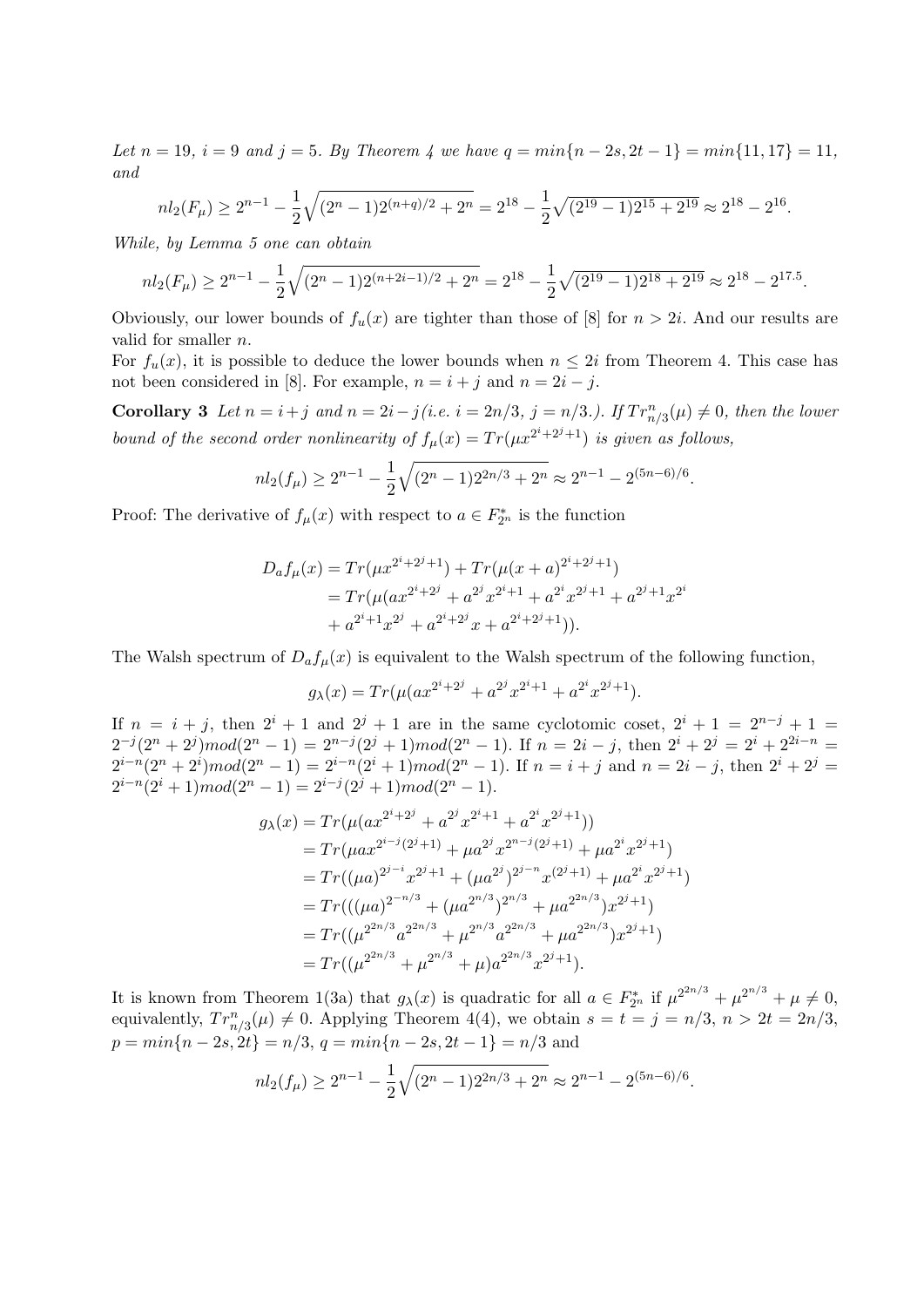Let  $n = 19$ ,  $i = 9$  and  $j = 5$ . By Theorem 4 we have  $q = min\{n - 2s, 2t - 1\} = min\{11, 17\} = 11$ , and

$$
nl_2(F_{\mu}) \ge 2^{n-1} - \frac{1}{2}\sqrt{(2^n - 1)2^{(n+q)/2} + 2^n} = 2^{18} - \frac{1}{2}\sqrt{(2^{19} - 1)2^{15} + 2^{19}} \approx 2^{18} - 2^{16}.
$$

While, by Lemma 5 one can obtain

$$
nl_2(F_{\mu}) \ge 2^{n-1} - \frac{1}{2}\sqrt{(2^n - 1)2^{(n+2i-1)/2} + 2^n} = 2^{18} - \frac{1}{2}\sqrt{(2^{19} - 1)2^{18} + 2^{19}} \approx 2^{18} - 2^{17.5}.
$$

Obviously, our lower bounds of  $f_u(x)$  are tighter than those of [8] for  $n > 2i$ . And our results are valid for smaller n.

For  $f_u(x)$ , it is possible to deduce the lower bounds when  $n \leq 2i$  from Theorem 4. This case has not been considered in [8]. For example,  $n = i + j$  and  $n = 2i - j$ .

Corollary 3 Let  $n = i + j$  and  $n = 2i - j$  (i.e.  $i = 2n/3$ ,  $j = n/3$ .). If  $Tr_{n/3}^n(\mu) \neq 0$ , then the lower bound of the second order nonlinearity of  $f_{\mu}(x) = Tr(\mu x^{2^{i}+2^{j}+1})$  is given as follows,

$$
nl_2(f_\mu) \ge 2^{n-1} - \frac{1}{2}\sqrt{(2^n - 1)2^{2n/3} + 2^n} \approx 2^{n-1} - 2^{(5n-6)/6}.
$$

Proof: The derivative of  $f_{\mu}(x)$  with respect to  $a \in F_{2^n}^*$  is the function

$$
D_{a}f_{\mu}(x) = Tr(\mu x^{2^{i}+2^{j}+1}) + Tr(\mu(x+a)^{2^{i}+2^{j}+1})
$$
  
= 
$$
Tr(\mu(ax^{2^{i}+2^{j}}+a^{2^{j}}x^{2^{i}+1}+a^{2^{i}}x^{2^{j}+1}+a^{2^{j}+1}x^{2^{i}})
$$

$$
+ a^{2^{i}+1}x^{2^{j}} + a^{2^{i}+2^{j}}x + a^{2^{i}+2^{j}+1})).
$$

The Walsh spectrum of  $D_a f_{\mu}(x)$  is equivalent to the Walsh spectrum of the following function,

$$
g_{\lambda}(x) = Tr(\mu(ax^{2^{i}+2^{j}} + a^{2^{j}}x^{2^{i}+1} + a^{2^{i}}x^{2^{j}+1}).
$$

If  $n = i + j$ , then  $2^{i} + 1$  and  $2^{j} + 1$  are in the same cyclotomic coset,  $2^{i} + 1 = 2^{n-j} + 1$  $2^{-j}(2^{n}+2^{j})mod(2^{n}-1) = 2^{n-j}(2^{j}+1)mod(2^{n}-1)$ . If  $n = 2i - j$ , then  $2^{i} + 2^{j} = 2^{i} + 2^{2i-n} =$  $2^{i-n}(2^n+2^i)mod(2^n-1) = 2^{i-n}(2^i+1)mod(2^n-1)$ . If  $n = i + j$  and  $n = 2i - j$ , then  $2^i + 2^j = j$  $2^{i-n}(2^i+1) mod(2^n-1) = 2^{i-j}(2^j+1) mod(2^n-1).$ 

$$
g_{\lambda}(x) = Tr(\mu(ax^{2^{i}+2^{j}} + a^{2^{j}}x^{2^{i}+1} + a^{2^{i}}x^{2^{j}+1}))
$$
  
\n
$$
= Tr(\mu ax^{2^{i-j}(2^{j}+1)} + \mu a^{2^{j}}x^{2^{n-j}(2^{j}+1)} + \mu a^{2^{i}}x^{2^{j}+1})
$$
  
\n
$$
= Tr((\mu a)^{2^{j-i}}x^{2^{j}+1} + (\mu a^{2^{j}})^{2^{j-n}}x^{(2^{j}+1)} + \mu a^{2^{i}}x^{2^{j}+1})
$$
  
\n
$$
= Tr((\mu a)^{2^{-n/3}} + (\mu a^{2^{n/3}})^{2^{n/3}} + \mu a^{2^{2n/3}})x^{2^{j}+1})
$$
  
\n
$$
= Tr((\mu^{2^{2n/3}}a^{2^{2n/3}} + \mu^{2^{n/3}}a^{2^{2n/3}} + \mu a^{2^{2n/3}})x^{2^{j}+1})
$$
  
\n
$$
= Tr((\mu^{2^{2n/3}} + \mu^{2^{n/3}} + \mu)a^{2^{2n/3}}x^{2^{j}+1}).
$$

It is known from Theorem 1(3a) that  $g_{\lambda}(x)$  is quadratic for all  $a \in F_{2^n}^*$  if  $\mu^{2^{2n/3}} + \mu^{2^{n/3}} + \mu \neq 0$ , equivalently,  $Tr_{n/3}^n(\mu) \neq 0$ . Applying Theorem 4(4), we obtain  $s = t = j = n/3$ ,  $n > 2t = 2n/3$ ,  $p = min\{n-2s, 2t\} = n/3, q = min\{n-2s, 2t-1\} = n/3$  and

$$
nl_2(f_\mu) \ge 2^{n-1} - \frac{1}{2}\sqrt{(2^n - 1)2^{2n/3} + 2^n} \approx 2^{n-1} - 2^{(5n-6)/6}.
$$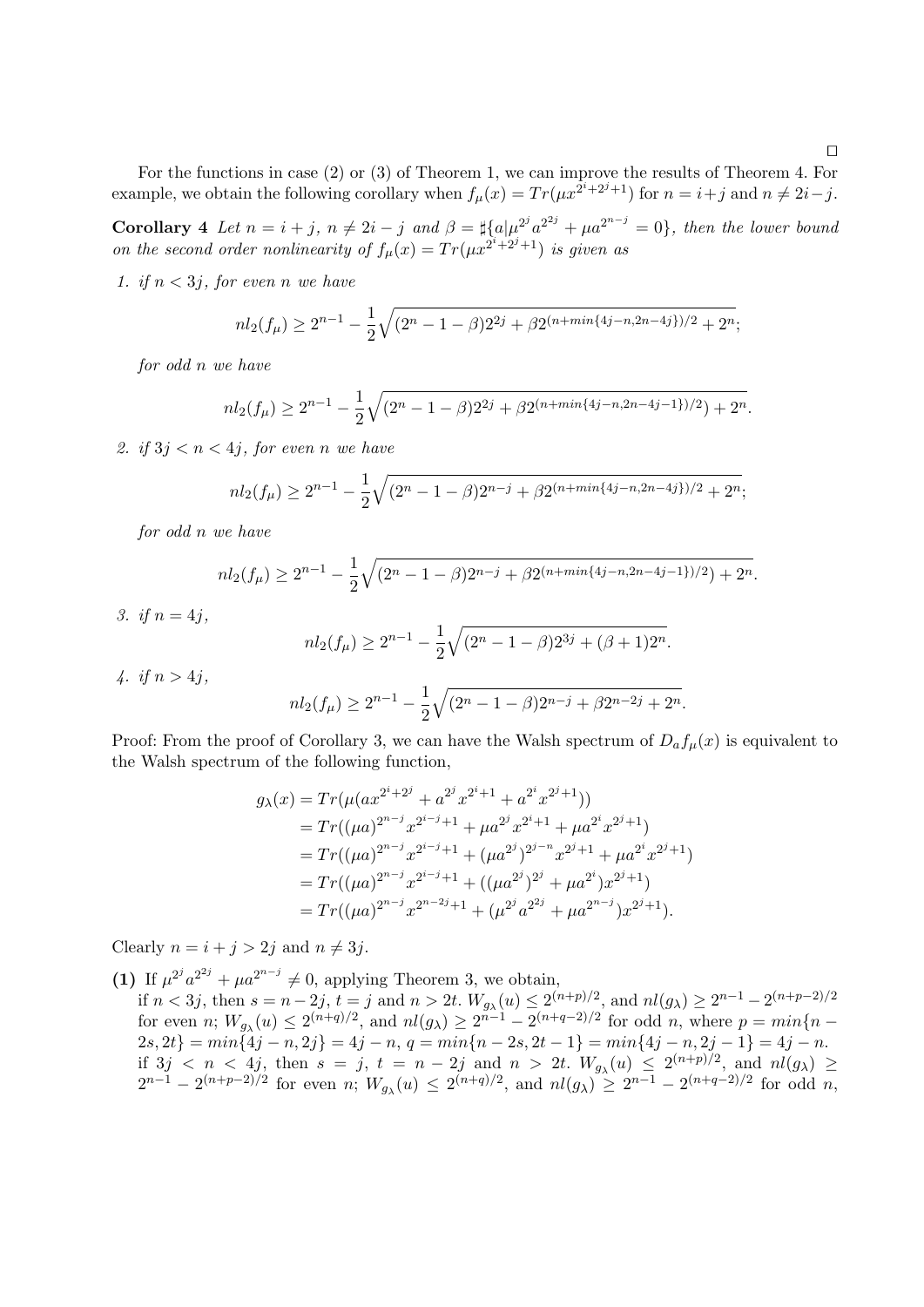For the functions in case (2) or (3) of Theorem 1, we can improve the results of Theorem 4. For example, we obtain the following corollary when  $f_{\mu}(x) = Tr(\mu x^{\overline{2}^{i}+2^{j}+1})$  for  $n = i+j$  and  $n \neq 2i-j$ .

**Corollary** 4 Let  $n = i + j$ ,  $n \neq 2i - j$  and  $\beta = \frac{1}{4} \{a | \mu^{2j} a^{2j} + \mu a^{2n-j} = 0 \}$ , then the lower bound on the second order nonlinearity of  $f_{\mu}(x) = Tr(\mu x^{2^{i}+2^{j}+1})$  is given as

1. if  $n < 3j$ , for even n we have

$$
nl_2(f_\mu) \ge 2^{n-1} - \frac{1}{2}\sqrt{(2^n - 1 - \beta)2^{2j} + \beta 2^{(n + min\{4j - n, 2n - 4j\})/2} + 2^n};
$$

for odd n we have

$$
nl_2(f_\mu) \ge 2^{n-1} - \frac{1}{2}\sqrt{(2^n - 1 - \beta)2^{2j} + \beta 2^{(n + min\{4j - n, 2n - 4j - 1\})/2} + 2^n}.
$$

2. if  $3j < n < 4j$ , for even n we have

$$
nl_2(f_\mu) \ge 2^{n-1} - \frac{1}{2}\sqrt{(2^n - 1 - \beta)2^{n-j} + \beta 2^{(n + min\{4j - n, 2n - 4j\})/2} + 2^n};
$$

for odd n we have

$$
nl_2(f_\mu) \ge 2^{n-1} - \frac{1}{2}\sqrt{(2^n - 1 - \beta)2^{n-j} + \beta 2^{(n + min\{4j - n, 2n - 4j - 1\})/2} + 2^n}.
$$

3. if  $n = 4i$ ,

$$
nl_2(f_\mu) \ge 2^{n-1} - \frac{1}{2}\sqrt{(2^n - 1 - \beta)2^{3j} + (\beta + 1)2^n}.
$$

4. if  $n > 4j$ ,

$$
nl_2(f_\mu) \ge 2^{n-1} - \frac{1}{2}\sqrt{(2^n - 1 - \beta)2^{n-j} + \beta 2^{n-2j} + 2^n}.
$$

Proof: From the proof of Corollary 3, we can have the Walsh spectrum of  $D_a f_a(x)$  is equivalent to the Walsh spectrum of the following function,

$$
g_{\lambda}(x) = Tr(\mu(ax^{2^{i}+2^{j}} + a^{2^{j}}x^{2^{i}+1} + a^{2^{i}}x^{2^{j}+1}))
$$
  
\n
$$
= Tr((\mu a)^{2^{n-j}}x^{2^{i-j}+1} + \mu a^{2^{j}}x^{2^{i}+1} + \mu a^{2^{i}}x^{2^{j}+1})
$$
  
\n
$$
= Tr((\mu a)^{2^{n-j}}x^{2^{i-j}+1} + (\mu a^{2^{j}})^{2^{j-n}}x^{2^{j}+1} + \mu a^{2^{i}}x^{2^{j}+1})
$$
  
\n
$$
= Tr((\mu a)^{2^{n-j}}x^{2^{i-j}+1} + ((\mu a^{2^{j}})^{2^{j}} + \mu a^{2^{i}})x^{2^{j}+1})
$$
  
\n
$$
= Tr((\mu a)^{2^{n-j}}x^{2^{n-2j}+1} + (\mu^{2^{j}}a^{2^{2j}} + \mu a^{2^{n-j}})x^{2^{j}+1}).
$$

Clearly  $n = i + j > 2j$  and  $n \neq 3j$ .

(1) If  $\mu^{2^j} a^{2^{2j}} + \mu a^{2^{n-j}} \neq 0$ , applying Theorem 3, we obtain,

if  $n < 3j$ , then  $s = n - 2j$ ,  $t = j$  and  $n > 2t$ .  $W_{g_\lambda}(u) \leq 2^{(n+p)/2}$ , and  $nl(g_\lambda) \geq 2^{n-1} - 2^{(n+p-2)/2}$ for even *n*;  $W_{g_\lambda}(u) \leq 2^{(n+q)/2}$ , and  $nl(g_\lambda) \geq 2^{n-1} - 2^{(n+q-2)/2}$  for odd *n*, where  $p = min\{n-1\}$  $2s, 2t$ } =  $min\{4j - n, 2j\} = 4j - n, q = min\{n - 2s, 2t - 1\} = min\{4j - n, 2j - 1\} = 4j - n.$ if  $3j \, \langle n \, \langle 4j, \text{ then } s = j, t = n - 2j \text{ and } n > 2t. \ W_{g_\lambda}(u) \leq 2^{(n+p)/2}, \ \text{and} \ n l(g_\lambda) \geq$  $2^{n-1} - 2^{(n+p-2)/2}$  for even n;  $W_{g_\lambda}(u) \leq 2^{(n+q)/2}$ , and  $nl(g_\lambda) \geq 2^{n-1} - 2^{(n+q-2)/2}$  for odd n,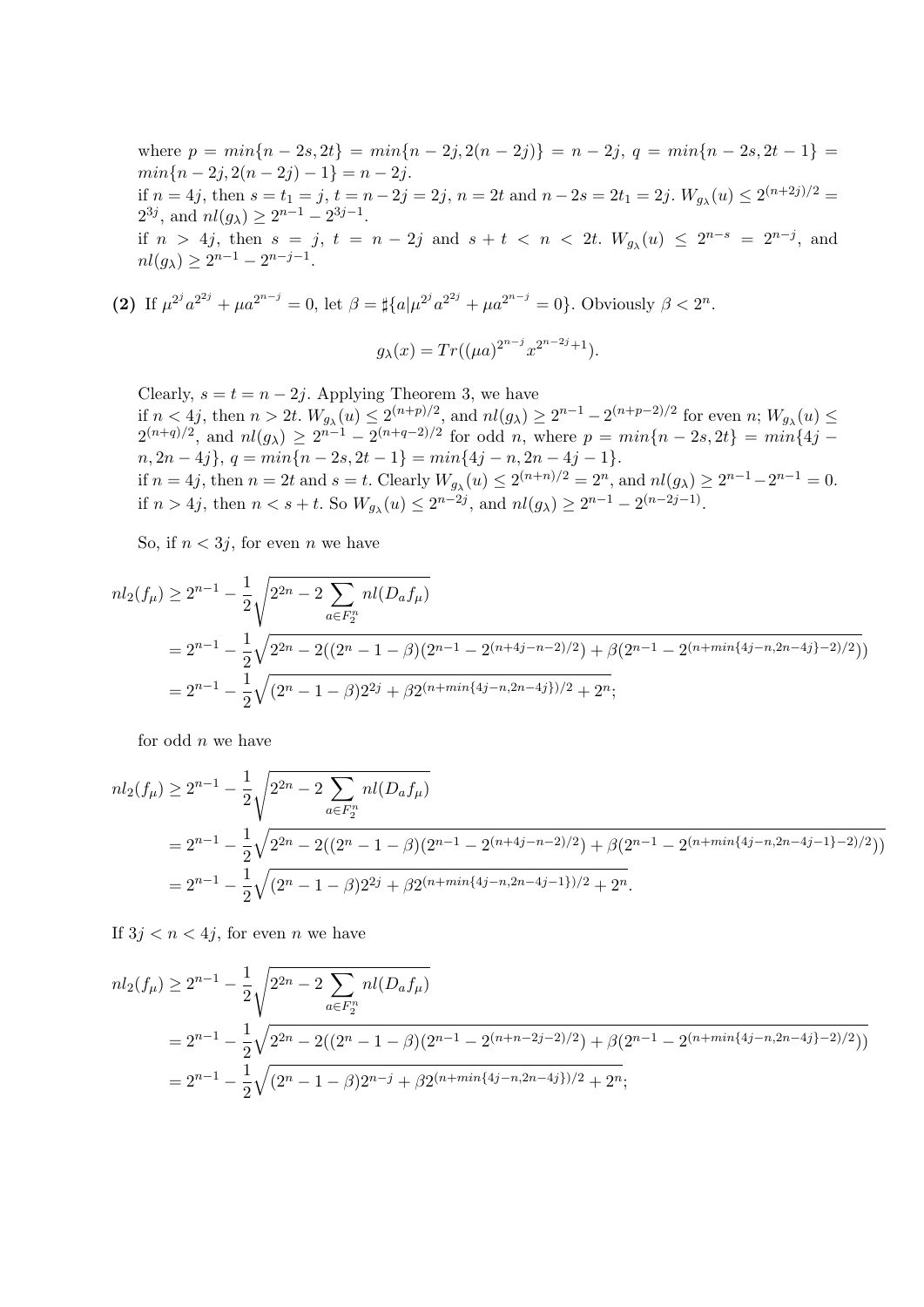where  $p = min\{n - 2s, 2t\} = min\{n - 2j, 2(n - 2j)\} = n - 2j, q = min\{n - 2s, 2t - 1\}$  $min\{n-2j, 2(n-2j)-1\}=n-2j.$ if  $n = 4j$ , then  $s = t_1 = j$ ,  $t = n - 2j = 2j$ ,  $n = 2t$  and  $n - 2s = 2t_1 = 2j$ .  $W_{g_\lambda}(u) \leq 2^{(n+2j)/2}$  $2^{3j}$ , and  $nl(g_{\lambda}) \geq 2^{n-1} - 2^{3j-1}$ . if  $n > 4j$ , then  $s = j$ ,  $t = n - 2j$  and  $s + t < n < 2t$ .  $W_{g_\lambda}(u) \leq 2^{n-s} = 2^{n-j}$ , and  $nl(g_{\lambda}) \geq 2^{n-1} - 2^{n-j-1}.$ 

(2) If  $\mu^{2^j} a^{2^{2j}} + \mu a^{2^{n-j}} = 0$ , let  $\beta = \frac{4}{3} \{a \mu^{2^j} a^{2^{2j}} + \mu a^{2^{n-j}} = 0\}$ . Obviously  $\beta < 2^n$ .

$$
g_{\lambda}(x) = Tr((\mu a)^{2^{n-j}} x^{2^{n-2j}+1}).
$$

Clearly,  $s = t = n - 2j$ . Applying Theorem 3, we have if  $n < 4j$ , then  $n > 2t$ .  $W_{g_\lambda}(u) \leq 2^{(n+p)/2}$ , and  $nl(g_\lambda) \geq 2^{n-1} - 2^{(n+p-2)/2}$  for even  $n$ ;  $W_{g_\lambda}(u) \leq$  $2^{(n+q)/2}$ , and  $nl(g_{\lambda}) \geq 2^{n-1} - 2^{(n+q-2)/2}$  for odd n, where  $p = min\{n-2s, 2t\} = min\{4j$  $n, 2n - 4j$ ,  $q = min\{n - 2s, 2t - 1\} = min\{4j - n, 2n - 4j - 1\}.$ if  $n = 4j$ , then  $n = 2t$  and  $s = t$ . Clearly  $W_{g_\lambda}(u) \leq 2^{(n+n)/2} = 2^n$ , and  $nl(g_\lambda) \geq 2^{n-1} - 2^{n-1} = 0$ . if  $n > 4j$ , then  $n < s + t$ . So  $W_{g_{\lambda}}(u) \leq 2^{n-2j}$ , and  $nl(g_{\lambda}) \geq 2^{n-1} - 2^{(n-2j-1)}$ .

So, if  $n < 3j$ , for even n we have

$$
nl_2(f_\mu) \ge 2^{n-1} - \frac{1}{2} \sqrt{2^{2n} - 2 \sum_{a \in F_2^n} nl(D_a f_\mu)}
$$
  
=  $2^{n-1} - \frac{1}{2} \sqrt{2^{2n} - 2((2^n - 1 - \beta)(2^{n-1} - 2^{(n+4j-n-2)/2}) + \beta(2^{n-1} - 2^{(n+min\{4j-n,2n-4j\}-2)/2})}$   
=  $2^{n-1} - \frac{1}{2} \sqrt{(2^n - 1 - \beta)2^{2j} + \beta 2^{(n+min\{4j-n,2n-4j\})/2} + 2^n};$ 

for odd  $n$  we have

$$
nl_2(f_\mu) \ge 2^{n-1} - \frac{1}{2} \sqrt{2^{2n} - 2 \sum_{a \in F_2^n} nl(D_a f_\mu)}
$$
  
=  $2^{n-1} - \frac{1}{2} \sqrt{2^{2n} - 2((2^n - 1 - \beta)(2^{n-1} - 2^{(n+4j-n-2)/2}) + \beta(2^{n-1} - 2^{(n+min\{4j-n,2n-4j-1\}-2)/2}))}$   
=  $2^{n-1} - \frac{1}{2} \sqrt{(2^n - 1 - \beta)2^{2j} + \beta 2^{(n+min\{4j-n,2n-4j-1\})/2} + 2^n}.$ 

If  $3j < n < 4j$ , for even *n* we have

$$
nl_2(f_\mu) \ge 2^{n-1} - \frac{1}{2} \sqrt{2^{2n} - 2 \sum_{a \in F_2^n} nl(D_a f_\mu)}
$$
  
=  $2^{n-1} - \frac{1}{2} \sqrt{2^{2n} - 2((2^n - 1 - \beta)(2^{n-1} - 2^{(n+n-2j-2)/2}) + \beta(2^{n-1} - 2^{(n+min\{4j-n,2n-4j\}-2)/2}))}$   
=  $2^{n-1} - \frac{1}{2} \sqrt{(2^n - 1 - \beta)2^{n-j} + \beta 2^{(n+min\{4j-n,2n-4j\})/2} + 2^n};$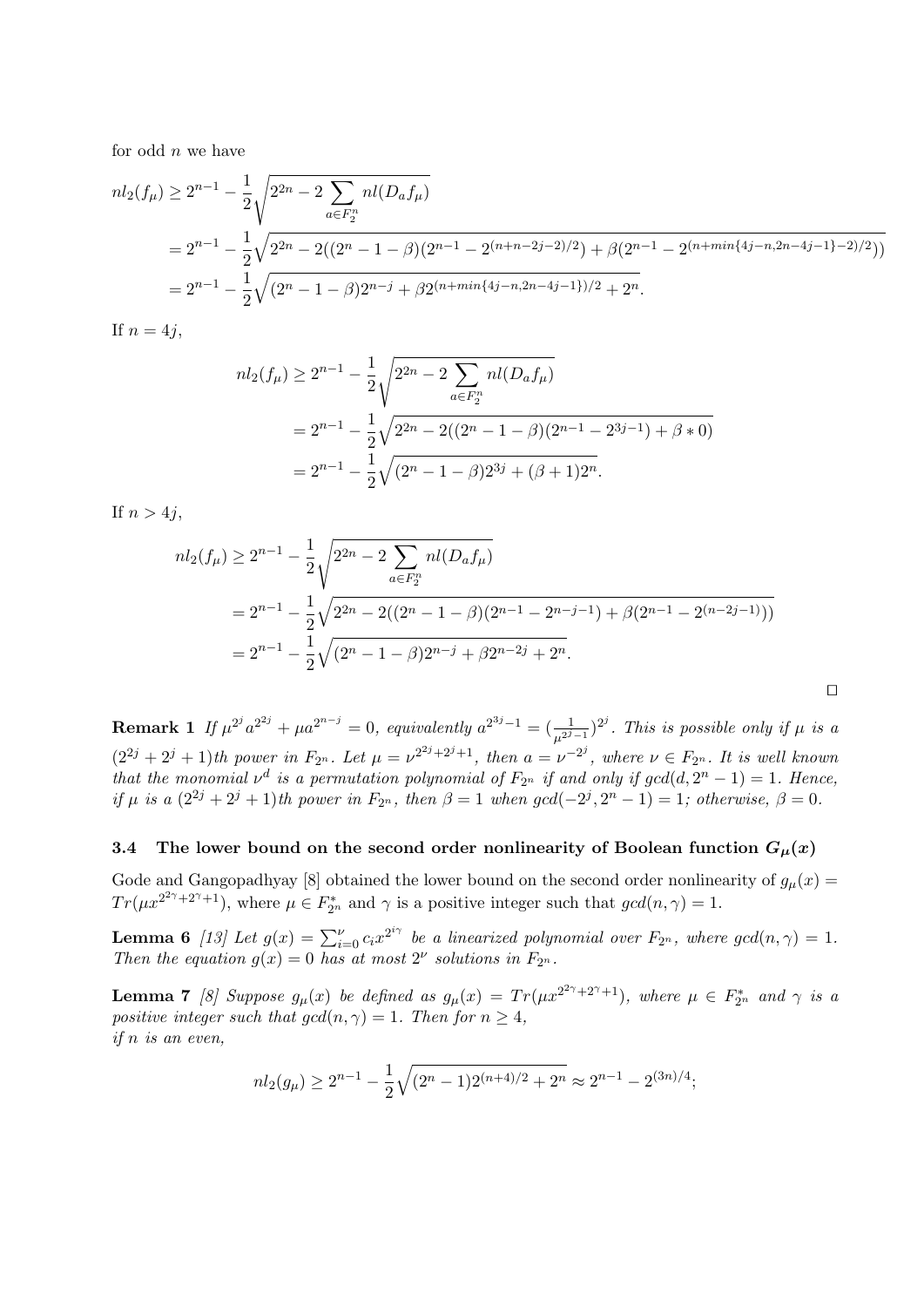for odd  $n$  we have

$$
nl_2(f_\mu) \ge 2^{n-1} - \frac{1}{2} \sqrt{2^{2n} - 2 \sum_{a \in F_2^n} nl(D_a f_\mu)}
$$
  
=  $2^{n-1} - \frac{1}{2} \sqrt{2^{2n} - 2((2^n - 1 - \beta)(2^{n-1} - 2^{(n+n-2j-2)/2}) + \beta(2^{n-1} - 2^{(n+min\{4j-n,2n-4j-1\}-2)/2}))}$   
=  $2^{n-1} - \frac{1}{2} \sqrt{(2^n - 1 - \beta)2^{n-j} + \beta 2^{(n+min\{4j-n,2n-4j-1\})/2} + 2^n}.$ 

If  $n = 4j$ ,

$$
nl_2(f_\mu) \ge 2^{n-1} - \frac{1}{2} \sqrt{2^{2n} - 2 \sum_{a \in F_2^n} nl(D_a f_\mu)}
$$
  
=  $2^{n-1} - \frac{1}{2} \sqrt{2^{2n} - 2((2^n - 1 - \beta)(2^{n-1} - 2^{3j-1}) + \beta * 0)}$   
=  $2^{n-1} - \frac{1}{2} \sqrt{(2^n - 1 - \beta)2^{3j} + (\beta + 1)2^n}.$ 

If  $n > 4j$ ,

$$
nl_2(f_\mu) \ge 2^{n-1} - \frac{1}{2} \sqrt{2^{2n} - 2 \sum_{a \in F_2^n} nl(D_a f_\mu)}
$$
  
=  $2^{n-1} - \frac{1}{2} \sqrt{2^{2n} - 2((2^n - 1 - \beta)(2^{n-1} - 2^{n-j-1}) + \beta(2^{n-1} - 2^{(n-2j-1)}))}$   
=  $2^{n-1} - \frac{1}{2} \sqrt{(2^n - 1 - \beta)2^{n-j} + \beta 2^{n-2j} + 2^n}.$ 

 $\Box$ 

**Remark 1** If  $\mu^{2^j} a^{2^{2j}} + \mu a^{2^{n-j}} = 0$ , equivalently  $a^{2^{3j}-1} = (\frac{1}{\mu^{2^j-1}})^{2^j}$ . This is possible only if  $\mu$  is a  $(2^{2j}+2^j+1)$ th power in  $F_{2^n}$ . Let  $\mu=\nu^{2^{2j}+2^j+1}$ , then  $a=\nu^{-2^j}$ , where  $\nu\in F_{2^n}$ . It is well known that the monomial  $\nu^d$  is a permutation polynomial of  $F_{2^n}$  if and only if  $gcd(d, 2^n - 1) = 1$ . Hence, if  $\mu$  is a  $(2^{2j} + 2^j + 1)$ th power in  $F_{2^n}$ , then  $\beta = 1$  when  $gcd(-2^j, 2^n - 1) = 1$ ; otherwise,  $\beta = 0$ .

#### 3.4 The lower bound on the second order nonlinearity of Boolean function  $G_{\mu}(x)$

Gode and Gangopadhyay [8] obtained the lower bound on the second order nonlinearity of  $g_{\mu}(x)$  =  $Tr(\mu x^{2^2\gamma+2\gamma+1}),$  where  $\mu \in F_{2^n}^*$  and  $\gamma$  is a positive integer such that  $gcd(n, \gamma) = 1$ .

**Lemma 6** [13] Let  $g(x) = \sum_{i=0}^{\nu} c_i x^{2^{i\gamma}}$  be a linearized polynomial over  $F_{2^n}$ , where  $gcd(n, \gamma) = 1$ . Then the equation  $g(x) = 0$  has at most  $2^{\nu}$  solutions in  $F_{2^n}$ .

**Lemma 7** [8] Suppose  $g_{\mu}(x)$  be defined as  $g_{\mu}(x) = Tr(\mu x^{2^{2\gamma}+2^{\gamma}+1})$ , where  $\mu \in F_{2^n}^*$  and  $\gamma$  is a positive integer such that  $gcd(n, \gamma) = 1$ . Then for  $n \geq 4$ , if n is an even,

$$
nl_2(g_\mu) \ge 2^{n-1} - \frac{1}{2}\sqrt{(2^n - 1)2^{(n+4)/2} + 2^n} \approx 2^{n-1} - 2^{(3n)/4};
$$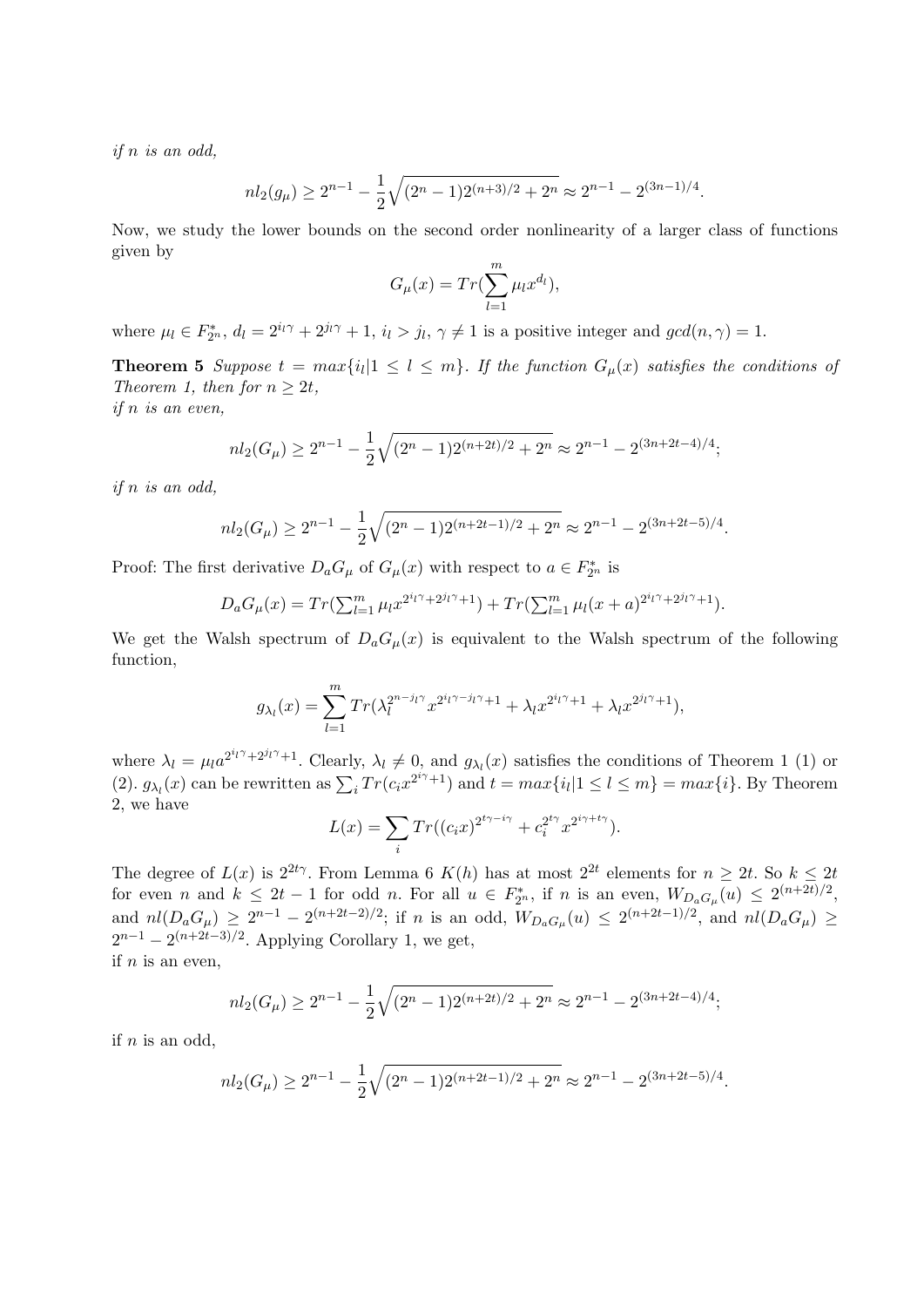if n is an odd,

$$
nl_2(g_\mu) \ge 2^{n-1} - \frac{1}{2}\sqrt{(2^n - 1)2^{(n+3)/2} + 2^n} \approx 2^{n-1} - 2^{(3n-1)/4}.
$$

Now, we study the lower bounds on the second order nonlinearity of a larger class of functions given by

$$
G_{\mu}(x) = Tr(\sum_{l=1}^{m} \mu_l x^{d_l}),
$$

where  $\mu_l \in F_{2^n}^*$ ,  $d_l = 2^{i_l \gamma} + 2^{j_l \gamma} + 1$ ,  $i_l > j_l$ ,  $\gamma \neq 1$  is a positive integer and  $gcd(n, \gamma) = 1$ .

**Theorem 5** Suppose  $t = max\{i_l | 1 \leq l \leq m\}$ . If the function  $G_\mu(x)$  satisfies the conditions of Theorem 1, then for  $n \geq 2t$ , if n is an even,

> $nl_2(G_\mu) \geq 2^{n-1} - \frac{1}{2}$ 2  $\sim$  $(2^{n} - 1)2^{(n+2t)/2} + 2^{n} \approx 2^{n-1} - 2^{(3n+2t-4)/4};$

if n is an odd,

$$
nl_2(G_\mu) \ge 2^{n-1} - \frac{1}{2}\sqrt{(2^n - 1)2^{(n+2t-1)/2} + 2^n} \approx 2^{n-1} - 2^{(3n+2t-5)/4}.
$$

Proof: The first derivative  $D_a G_\mu$  of  $G_\mu(x)$  with respect to  $a \in F_{2^n}^*$  is

$$
D_a G_{\mu}(x) = Tr(\sum_{l=1}^m \mu_l x^{2^{i_l \gamma} + 2^{j_l \gamma} + 1}) + Tr(\sum_{l=1}^m \mu_l (x + a)^{2^{i_l \gamma} + 2^{j_l \gamma} + 1}).
$$

We get the Walsh spectrum of  $D_aG_\mu(x)$  is equivalent to the Walsh spectrum of the following function,

$$
g_{\lambda_l}(x) = \sum_{l=1}^m Tr(\lambda_l^{2^{n-j_l\gamma}} x^{2^{i_l\gamma - j_l\gamma} + 1} + \lambda_l x^{2^{i_l\gamma} + 1} + \lambda_l x^{2^{j_l\gamma} + 1}),
$$

where  $\lambda_l = \mu_l a^{2^{i_l}\gamma + 2^{j_l}\gamma + 1}$ . Clearly,  $\lambda_l \neq 0$ , and  $g_{\lambda_l}(x)$  satisfies the conditions of Theorem 1 (1) or where  $\lambda_l = \mu_l a$  can be rewritten as  $\sum_i Tr(c_i x^{2^{i\gamma}+1})$  and  $t = max\{i_l | 1 \le l \le m\} = max\{i\}$ . By Theorem 2, we have

$$
L(x) = \sum_{i} Tr((c_i x)^{2^{t\gamma - i\gamma}} + c_i^{2^{t\gamma}} x^{2^{i\gamma + t\gamma}}).
$$

The degree of  $L(x)$  is  $2^{2t}\gamma$ . From Lemma 6  $K(h)$  has at most  $2^{2t}$  elements for  $n \geq 2t$ . So  $k \leq 2t$ for even n and  $k \leq 2t-1$  for odd n. For all  $u \in F_{2^n}^*$ , if n is an even,  $W_{D_aG_\mu}(u) \leq 2^{(n+2t)/2}$ , and  $nl(D_aG_\mu) \geq 2^{n-1} - 2^{(n+2t-2)/2}$ ; if n is an odd,  $W_{D_aG_\mu}(u) \leq 2^{(n+2t-1)/2}$ , and  $nl(D_aG_\mu) \geq$  $2^{n-1} - 2^{(n+2t-3)/2}$ . Applying Corollary 1, we get, if  $n$  is an even,

$$
nl_2(G_\mu) \ge 2^{n-1} - \frac{1}{2}\sqrt{(2^n - 1)2^{(n+2t)/2} + 2^n} \approx 2^{n-1} - 2^{(3n+2t-4)/4};
$$

if  $n$  is an odd,

$$
nl_2(G_\mu) \ge 2^{n-1} - \frac{1}{2}\sqrt{(2^n - 1)2^{(n+2t-1)/2} + 2^n} \approx 2^{n-1} - 2^{(3n+2t-5)/4}.
$$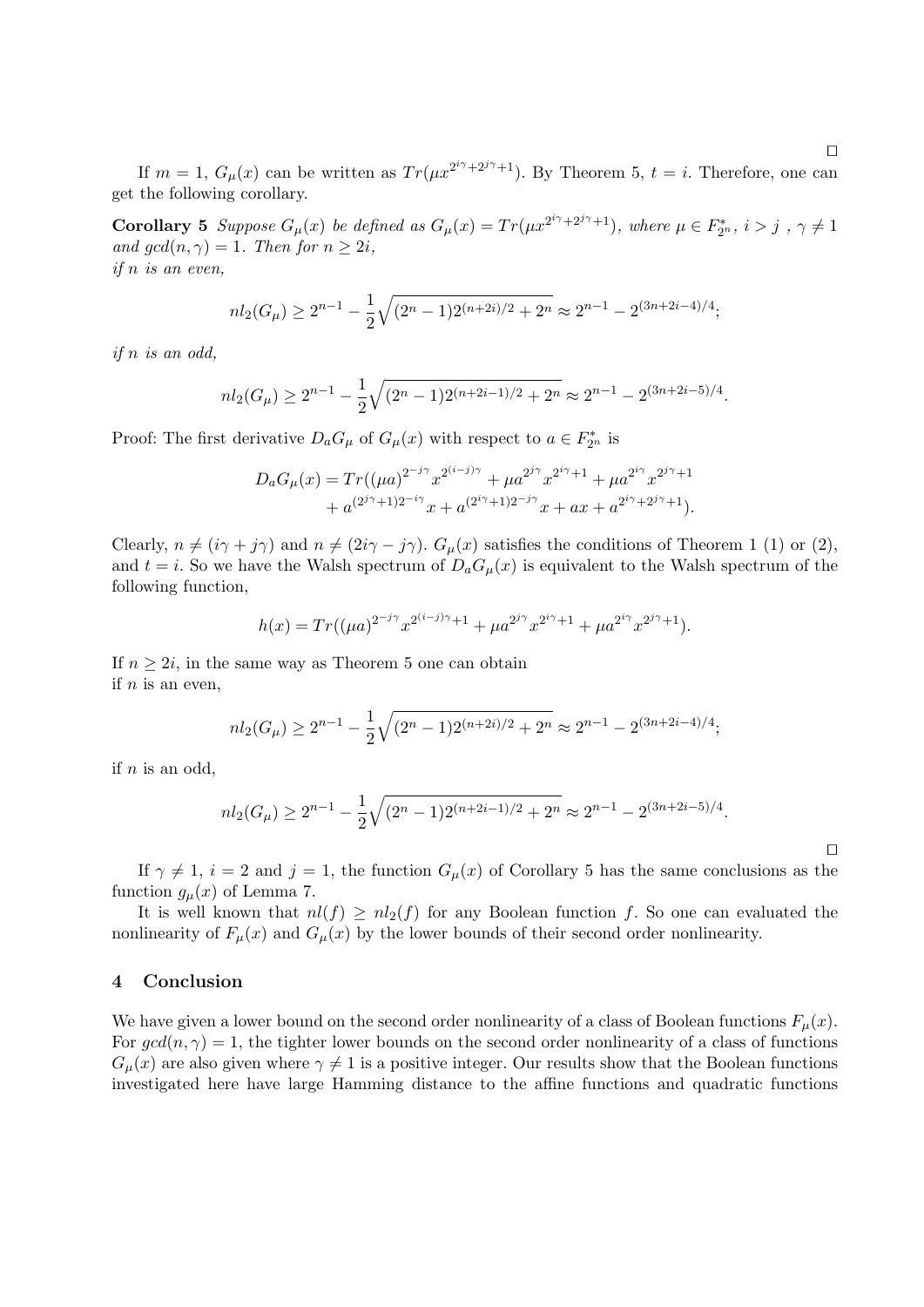If  $m = 1$ ,  $G_{\mu}(x)$  can be written as  $Tr(\mu x^{2^{i\gamma}+2^{j\gamma}+1})$ . By Theorem 5,  $t = i$ . Therefore, one can get the following corollary.

**Corollary 5** Suppose  $G_{\mu}(x)$  be defined as  $G_{\mu}(x) = Tr(\mu x^{2^{i\gamma}+2^{j\gamma}+1})$ , where  $\mu \in F_{2^n}^*$ ,  $i > j$ ,  $\gamma \neq 1$ and  $gcd(n, \gamma) = 1$ . Then for  $n \geq 2i$ , if n is an even,

$$
nl_2(G_\mu) \ge 2^{n-1} - \frac{1}{2}\sqrt{(2^n - 1)2^{(n+2i)/2} + 2^n} \approx 2^{n-1} - 2^{(3n+2i-4)/4};
$$

if n is an odd,

$$
nl_2(G_\mu) \ge 2^{n-1} - \frac{1}{2}\sqrt{(2^n - 1)2^{(n+2i-1)/2} + 2^n} \approx 2^{n-1} - 2^{(3n+2i-5)/4}.
$$

Proof: The first derivative  $D_a G_\mu$  of  $G_\mu(x)$  with respect to  $a \in F_{2^n}^*$  is

$$
D_a G_{\mu}(x) = Tr((\mu a)^{2^{-j\gamma}} x^{2^{(i-j)\gamma}} + \mu a^{2^{j\gamma}} x^{2^{i\gamma}+1} + \mu a^{2^{i\gamma}} x^{2^{j\gamma}+1} + a^{(2^{j\gamma}+1)2^{-i\gamma}} x + a^{(2^{i\gamma}+1)2^{-j\gamma}} x + ax + a^{2^{i\gamma}+2^{j\gamma}+1}.
$$

Clearly,  $n \neq (i\gamma + j\gamma)$  and  $n \neq (2i\gamma - j\gamma)$ .  $G_{\mu}(x)$  satisfies the conditions of Theorem 1 (1) or (2), and  $t = i$ . So we have the Walsh spectrum of  $D_a G_\mu(x)$  is equivalent to the Walsh spectrum of the following function,

$$
h(x) = Tr((\mu a)^{2^{-j\gamma}} x^{2^{(i-j)\gamma}+1} + \mu a^{2^{j\gamma}} x^{2^{i\gamma}+1} + \mu a^{2^{i\gamma}} x^{2^{j\gamma}+1}).
$$

If  $n \geq 2i$ , in the same way as Theorem 5 one can obtain if  $n$  is an even,

$$
nl_2(G_\mu) \ge 2^{n-1} - \frac{1}{2}\sqrt{(2^n - 1)2^{(n+2i)/2} + 2^n} \approx 2^{n-1} - 2^{(3n+2i-4)/4};
$$

if  $n$  is an odd,

$$
nl_2(G_\mu) \ge 2^{n-1} - \frac{1}{2}\sqrt{(2^n - 1)2^{(n+2i-1)/2} + 2^n} \approx 2^{n-1} - 2^{(3n+2i-5)/4}.
$$

If  $\gamma \neq 1$ ,  $i = 2$  and  $j = 1$ , the function  $G_{\mu}(x)$  of Corollary 5 has the same conclusions as the function  $g_{\mu}(x)$  of Lemma 7.

It is well known that  $nl(f) \geq nl_2(f)$  for any Boolean function f. So one can evaluated the nonlinearity of  $F_{\mu}(x)$  and  $G_{\mu}(x)$  by the lower bounds of their second order nonlinearity.

## 4 Conclusion

We have given a lower bound on the second order nonlinearity of a class of Boolean functions  $F_{\mu}(x)$ . For  $gcd(n, \gamma) = 1$ , the tighter lower bounds on the second order nonlinearity of a class of functions  $G_{\mu}(x)$  are also given where  $\gamma \neq 1$  is a positive integer. Our results show that the Boolean functions investigated here have large Hamming distance to the affine functions and quadratic functions

 $\Box$ 

 $\Box$